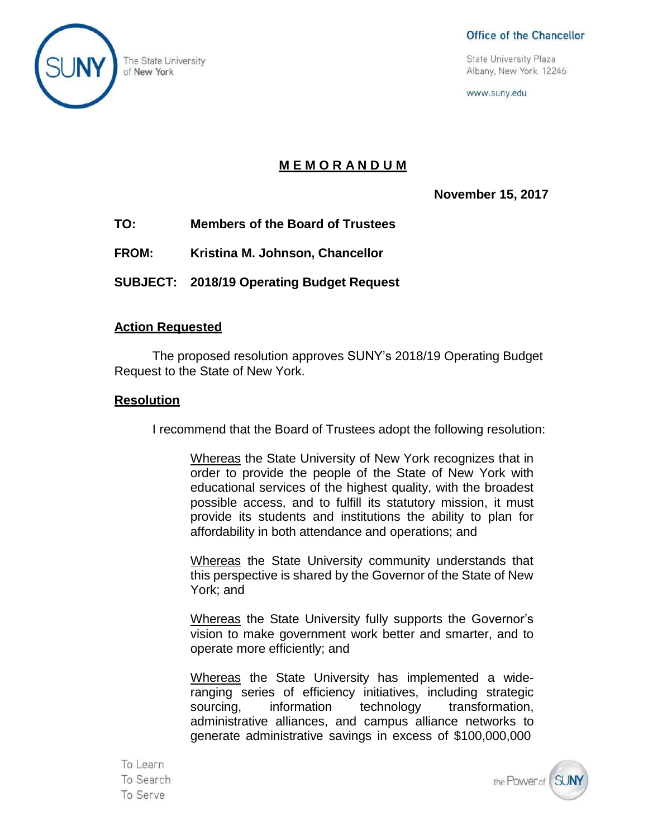

#### Office of the Chancellor

The State University<br>
of New York 12246<br>
of New York 12246

www.suny.edu

#### **M E M O R A N D U M**

**November 15, 2017**

- **TO: Members of the Board of Trustees**
- **FROM: Kristina M. Johnson, Chancellor**
- **SUBJECT: 2018/19 Operating Budget Request**

#### **Action Requested**

The proposed resolution approves SUNY's 2018/19 Operating Budget Request to the State of New York.

#### **Resolution**

I recommend that the Board of Trustees adopt the following resolution:

Whereas the State University of New York recognizes that in order to provide the people of the State of New York with educational services of the highest quality, with the broadest possible access, and to fulfill its statutory mission, it must provide its students and institutions the ability to plan for affordability in both attendance and operations; and

Whereas the State University community understands that this perspective is shared by the Governor of the State of New York; and

Whereas the State University fully supports the Governor's vision to make government work better and smarter, and to operate more efficiently; and

Whereas the State University has implemented a wideranging series of efficiency initiatives, including strategic sourcing. information technology transformation. administrative alliances, and campus alliance networks to generate administrative savings in excess of \$100,000,000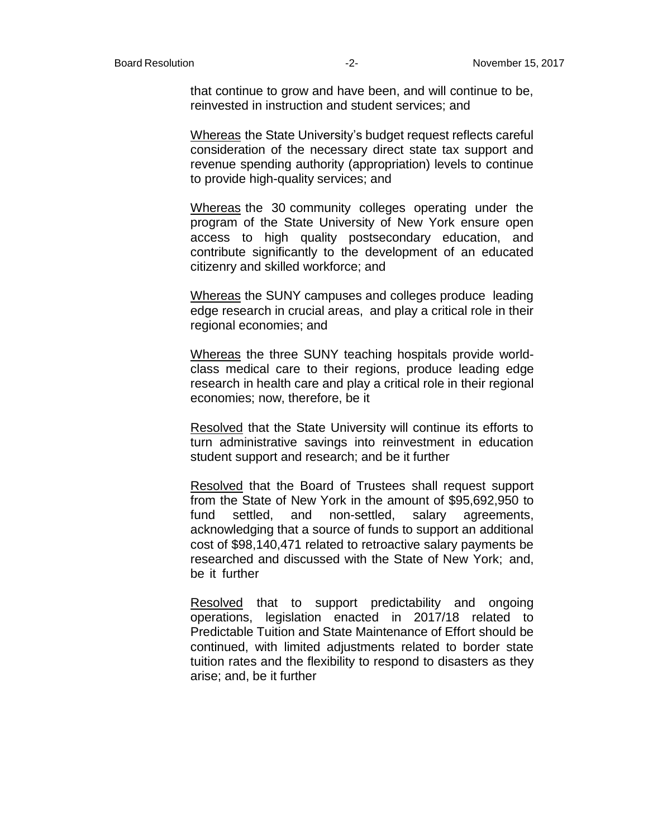that continue to grow and have been, and will continue to be, reinvested in instruction and student services; and

Whereas the State University's budget request reflects careful consideration of the necessary direct state tax support and revenue spending authority (appropriation) levels to continue to provide high-quality services; and

Whereas the 30 community colleges operating under the program of the State University of New York ensure open access to high quality postsecondary education, and contribute significantly to the development of an educated citizenry and skilled workforce; and

Whereas the SUNY campuses and colleges produce leading edge research in crucial areas, and play a critical role in their regional economies; and

Whereas the three SUNY teaching hospitals provide worldclass medical care to their regions, produce leading edge research in health care and play a critical role in their regional economies; now, therefore, be it

Resolved that the State University will continue its efforts to turn administrative savings into reinvestment in education student support and research; and be it further

Resolved that the Board of Trustees shall request support from the State of New York in the amount of \$95,692,950 to fund settled, and non-settled, salary agreements, acknowledging that a source of funds to support an additional cost of \$98,140,471 related to retroactive salary payments be researched and discussed with the State of New York; and, be it further

Resolved that to support predictability and ongoing operations, legislation enacted in 2017/18 related to Predictable Tuition and State Maintenance of Effort should be continued, with limited adjustments related to border state tuition rates and the flexibility to respond to disasters as they arise; and, be it further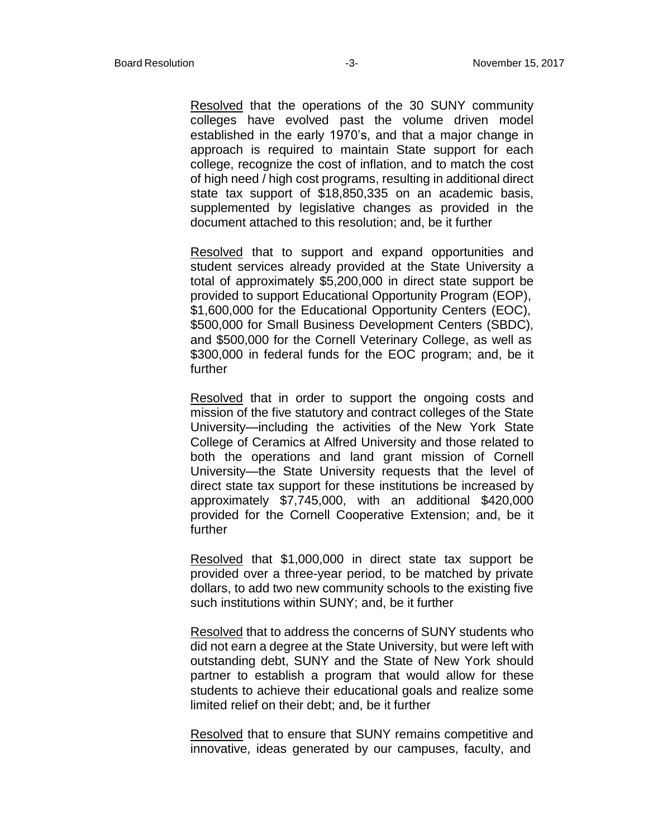Resolved that the operations of the 30 SUNY community colleges have evolved past the volume driven model established in the early 1970's, and that a major change in approach is required to maintain State support for each college, recognize the cost of inflation, and to match the cost of high need / high cost programs, resulting in additional direct state tax support of \$18,850,335 on an academic basis, supplemented by legislative changes as provided in the document attached to this resolution; and, be it further

Resolved that to support and expand opportunities and student services already provided at the State University a total of approximately \$5,200,000 in direct state support be provided to support Educational Opportunity Program (EOP), \$1,600,000 for the Educational Opportunity Centers (EOC), \$500,000 for Small Business Development Centers (SBDC), and \$500,000 for the Cornell Veterinary College, as well as \$300,000 in federal funds for the EOC program; and, be it further

Resolved that in order to support the ongoing costs and mission of the five statutory and contract colleges of the State University—including the activities of the New York State College of Ceramics at Alfred University and those related to both the operations and land grant mission of Cornell University—the State University requests that the level of direct state tax support for these institutions be increased by approximately \$7,745,000, with an additional \$420,000 provided for the Cornell Cooperative Extension; and, be it further

Resolved that \$1,000,000 in direct state tax support be provided over a three-year period, to be matched by private dollars, to add two new community schools to the existing five such institutions within SUNY; and, be it further

Resolved that to address the concerns of SUNY students who did not earn a degree at the State University, but were left with outstanding debt, SUNY and the State of New York should partner to establish a program that would allow for these students to achieve their educational goals and realize some limited relief on their debt; and, be it further

Resolved that to ensure that SUNY remains competitive and innovative, ideas generated by our campuses, faculty, and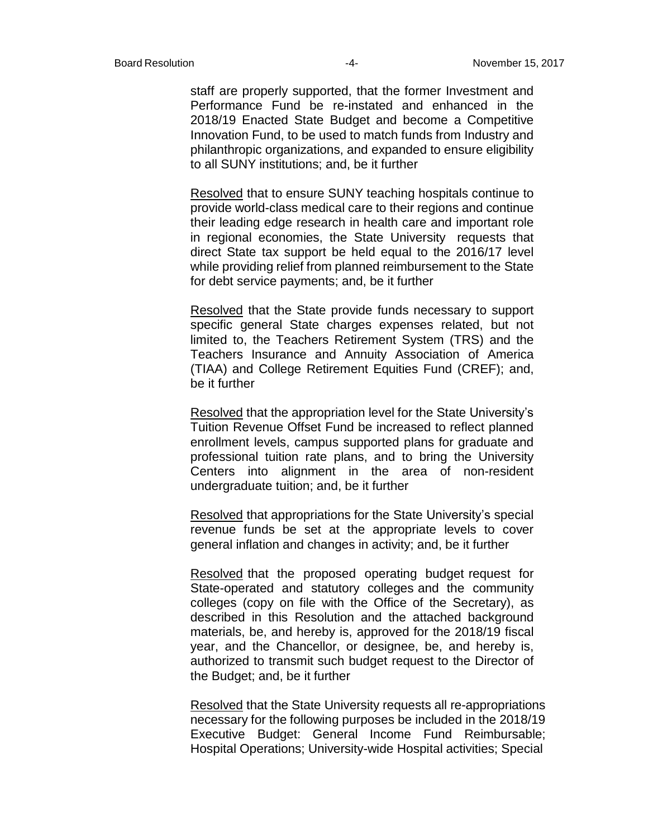staff are properly supported, that the former Investment and Performance Fund be re-instated and enhanced in the 2018/19 Enacted State Budget and become a Competitive Innovation Fund, to be used to match funds from Industry and philanthropic organizations, and expanded to ensure eligibility to all SUNY institutions; and, be it further

Resolved that to ensure SUNY teaching hospitals continue to provide world-class medical care to their regions and continue their leading edge research in health care and important role in regional economies, the State University requests that direct State tax support be held equal to the 2016/17 level while providing relief from planned reimbursement to the State for debt service payments; and, be it further

Resolved that the State provide funds necessary to support specific general State charges expenses related, but not limited to, the Teachers Retirement System (TRS) and the Teachers Insurance and Annuity Association of America (TIAA) and College Retirement Equities Fund (CREF); and, be it further

Resolved that the appropriation level for the State University's Tuition Revenue Offset Fund be increased to reflect planned enrollment levels, campus supported plans for graduate and professional tuition rate plans, and to bring the University Centers into alignment in the area of non-resident undergraduate tuition; and, be it further

Resolved that appropriations for the State University's special revenue funds be set at the appropriate levels to cover general inflation and changes in activity; and, be it further

Resolved that the proposed operating budget request for State-operated and statutory colleges and the community colleges (copy on file with the Office of the Secretary), as described in this Resolution and the attached background materials, be, and hereby is, approved for the 2018/19 fiscal year, and the Chancellor, or designee, be, and hereby is, authorized to transmit such budget request to the Director of the Budget; and, be it further

Resolved that the State University requests all re-appropriations necessary for the following purposes be included in the 2018/19 Executive Budget: General Income Fund Reimbursable; Hospital Operations; University-wide Hospital activities; Special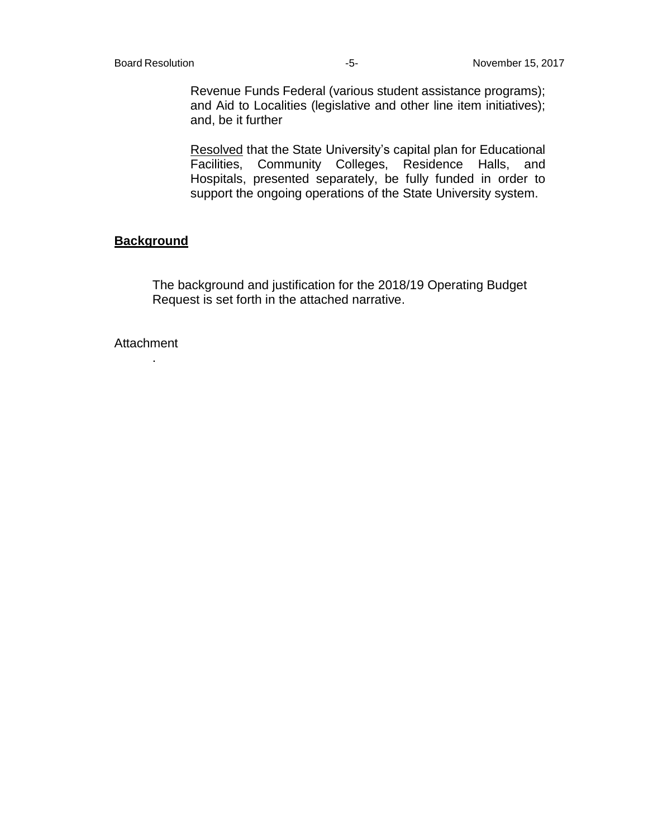Revenue Funds Federal (various student assistance programs); and Aid to Localities (legislative and other line item initiatives); and, be it further

Resolved that the State University's capital plan for Educational Facilities, Community Colleges, Residence Halls, and Hospitals, presented separately, be fully funded in order to support the ongoing operations of the State University system.

#### **Background**

The background and justification for the 2018/19 Operating Budget Request is set forth in the attached narrative.

**Attachment** 

.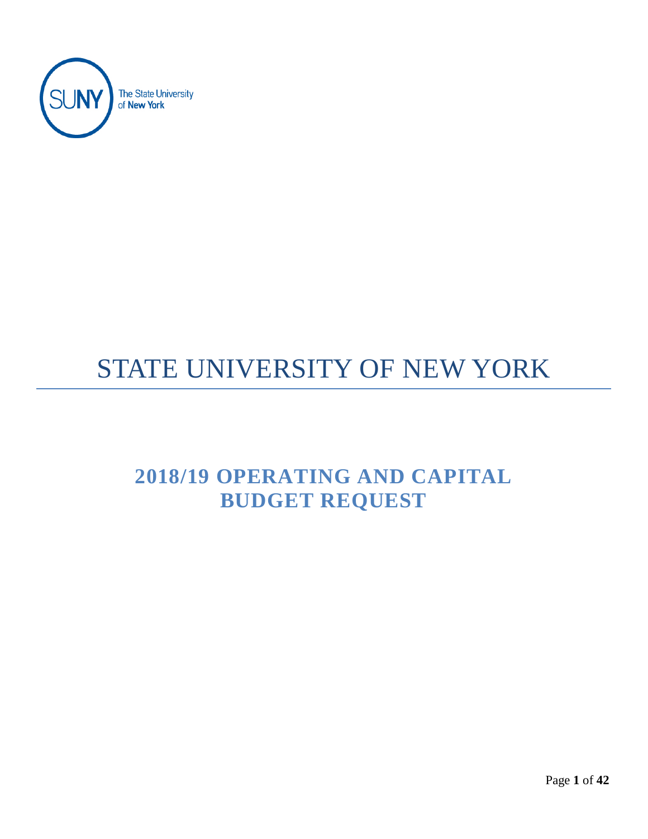

# STATE UNIVERSITY OF NEW YORK

## **2018/19 OPERATING AND CAPITAL BUDGET REQUEST**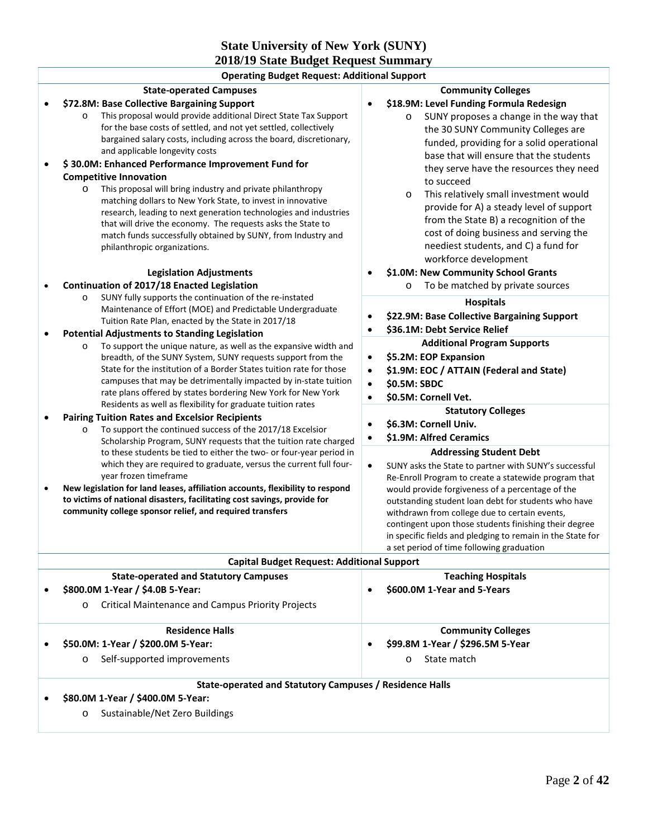#### **State University of New York (SUNY) 2018/19 State Budget Request Summary**

| <b>Operating Budget Request: Additional Support</b>                                                                                                                                                                                                                                                                                                                                                                                                                                                                                                                                                                                                                                                                                                                     |                                                                                                                                                                                                                                                                                                                                                                                                                                                                                                                                                        |  |  |  |  |  |
|-------------------------------------------------------------------------------------------------------------------------------------------------------------------------------------------------------------------------------------------------------------------------------------------------------------------------------------------------------------------------------------------------------------------------------------------------------------------------------------------------------------------------------------------------------------------------------------------------------------------------------------------------------------------------------------------------------------------------------------------------------------------------|--------------------------------------------------------------------------------------------------------------------------------------------------------------------------------------------------------------------------------------------------------------------------------------------------------------------------------------------------------------------------------------------------------------------------------------------------------------------------------------------------------------------------------------------------------|--|--|--|--|--|
| <b>State-operated Campuses</b>                                                                                                                                                                                                                                                                                                                                                                                                                                                                                                                                                                                                                                                                                                                                          | <b>Community Colleges</b>                                                                                                                                                                                                                                                                                                                                                                                                                                                                                                                              |  |  |  |  |  |
| \$72.8M: Base Collective Bargaining Support<br>This proposal would provide additional Direct State Tax Support<br>$\circ$<br>for the base costs of settled, and not yet settled, collectively<br>bargained salary costs, including across the board, discretionary,<br>and applicable longevity costs<br>\$30.0M: Enhanced Performance Improvement Fund for<br><b>Competitive Innovation</b><br>This proposal will bring industry and private philanthropy<br>$\circ$<br>matching dollars to New York State, to invest in innovative<br>research, leading to next generation technologies and industries<br>that will drive the economy. The requests asks the State to<br>match funds successfully obtained by SUNY, from Industry and<br>philanthropic organizations. | \$18.9M: Level Funding Formula Redesign<br>$\bullet$<br>SUNY proposes a change in the way that<br>$\circ$<br>the 30 SUNY Community Colleges are<br>funded, providing for a solid operational<br>base that will ensure that the students<br>they serve have the resources they need<br>to succeed<br>This relatively small investment would<br>$\circ$<br>provide for A) a steady level of support<br>from the State B) a recognition of the<br>cost of doing business and serving the<br>neediest students, and C) a fund for<br>workforce development |  |  |  |  |  |
| <b>Legislation Adjustments</b>                                                                                                                                                                                                                                                                                                                                                                                                                                                                                                                                                                                                                                                                                                                                          | \$1.0M: New Community School Grants                                                                                                                                                                                                                                                                                                                                                                                                                                                                                                                    |  |  |  |  |  |
| Continuation of 2017/18 Enacted Legislation<br>SUNY fully supports the continuation of the re-instated<br>$\circ$<br>Maintenance of Effort (MOE) and Predictable Undergraduate<br>Tuition Rate Plan, enacted by the State in 2017/18                                                                                                                                                                                                                                                                                                                                                                                                                                                                                                                                    | To be matched by private sources<br>$\circ$<br><b>Hospitals</b><br>\$22.9M: Base Collective Bargaining Support<br>\$36.1M: Debt Service Relief                                                                                                                                                                                                                                                                                                                                                                                                         |  |  |  |  |  |
| <b>Potential Adjustments to Standing Legislation</b>                                                                                                                                                                                                                                                                                                                                                                                                                                                                                                                                                                                                                                                                                                                    | <b>Additional Program Supports</b>                                                                                                                                                                                                                                                                                                                                                                                                                                                                                                                     |  |  |  |  |  |
| To support the unique nature, as well as the expansive width and<br>$\circ$<br>breadth, of the SUNY System, SUNY requests support from the<br>State for the institution of a Border States tuition rate for those<br>campuses that may be detrimentally impacted by in-state tuition<br>rate plans offered by states bordering New York for New York                                                                                                                                                                                                                                                                                                                                                                                                                    | \$5.2M: EOP Expansion<br>$\bullet$<br>\$1.9M: EOC / ATTAIN (Federal and State)<br>$\bullet$<br>\$0.5M: SBDC<br>$\bullet$<br>\$0.5M: Cornell Vet.<br>$\bullet$                                                                                                                                                                                                                                                                                                                                                                                          |  |  |  |  |  |
| Residents as well as flexibility for graduate tuition rates<br><b>Pairing Tuition Rates and Excelsior Recipients</b>                                                                                                                                                                                                                                                                                                                                                                                                                                                                                                                                                                                                                                                    | <b>Statutory Colleges</b>                                                                                                                                                                                                                                                                                                                                                                                                                                                                                                                              |  |  |  |  |  |
| To support the continued success of the 2017/18 Excelsior<br>$\circ$<br>Scholarship Program, SUNY requests that the tuition rate charged                                                                                                                                                                                                                                                                                                                                                                                                                                                                                                                                                                                                                                | \$6.3M: Cornell Univ.<br>\$1.9M: Alfred Ceramics                                                                                                                                                                                                                                                                                                                                                                                                                                                                                                       |  |  |  |  |  |
| to these students be tied to either the two- or four-year period in<br>which they are required to graduate, versus the current full four-<br>year frozen timeframe<br>New legislation for land leases, affiliation accounts, flexibility to respond<br>to victims of national disasters, facilitating cost savings, provide for<br>community college sponsor relief, and required transfers                                                                                                                                                                                                                                                                                                                                                                             | <b>Addressing Student Debt</b><br>SUNY asks the State to partner with SUNY's successful<br>$\bullet$<br>Re-Enroll Program to create a statewide program that<br>would provide forgiveness of a percentage of the<br>outstanding student loan debt for students who have<br>withdrawn from college due to certain events,<br>contingent upon those students finishing their degree<br>in specific fields and pledging to remain in the State for<br>a set period of time following graduation                                                           |  |  |  |  |  |
| <b>Capital Budget Request: Additional Support</b>                                                                                                                                                                                                                                                                                                                                                                                                                                                                                                                                                                                                                                                                                                                       |                                                                                                                                                                                                                                                                                                                                                                                                                                                                                                                                                        |  |  |  |  |  |
| <b>State-operated and Statutory Campuses</b><br>\$800.0M 1-Year / \$4.0B 5-Year:<br><b>Critical Maintenance and Campus Priority Projects</b><br>O                                                                                                                                                                                                                                                                                                                                                                                                                                                                                                                                                                                                                       | <b>Teaching Hospitals</b><br>\$600.0M 1-Year and 5-Years                                                                                                                                                                                                                                                                                                                                                                                                                                                                                               |  |  |  |  |  |
| <b>Residence Halls</b>                                                                                                                                                                                                                                                                                                                                                                                                                                                                                                                                                                                                                                                                                                                                                  | <b>Community Colleges</b>                                                                                                                                                                                                                                                                                                                                                                                                                                                                                                                              |  |  |  |  |  |
| \$50.0M: 1-Year / \$200.0M 5-Year:                                                                                                                                                                                                                                                                                                                                                                                                                                                                                                                                                                                                                                                                                                                                      | \$99.8M 1-Year / \$296.5M 5-Year<br>$\bullet$                                                                                                                                                                                                                                                                                                                                                                                                                                                                                                          |  |  |  |  |  |
| Self-supported improvements<br>O                                                                                                                                                                                                                                                                                                                                                                                                                                                                                                                                                                                                                                                                                                                                        | State match<br>$\circ$                                                                                                                                                                                                                                                                                                                                                                                                                                                                                                                                 |  |  |  |  |  |
| <b>State-operated and Statutory Campuses / Residence Halls</b>                                                                                                                                                                                                                                                                                                                                                                                                                                                                                                                                                                                                                                                                                                          |                                                                                                                                                                                                                                                                                                                                                                                                                                                                                                                                                        |  |  |  |  |  |

- **\$80.0M 1-Year / \$400.0M 5-Year:**
	- o Sustainable/Net Zero Buildings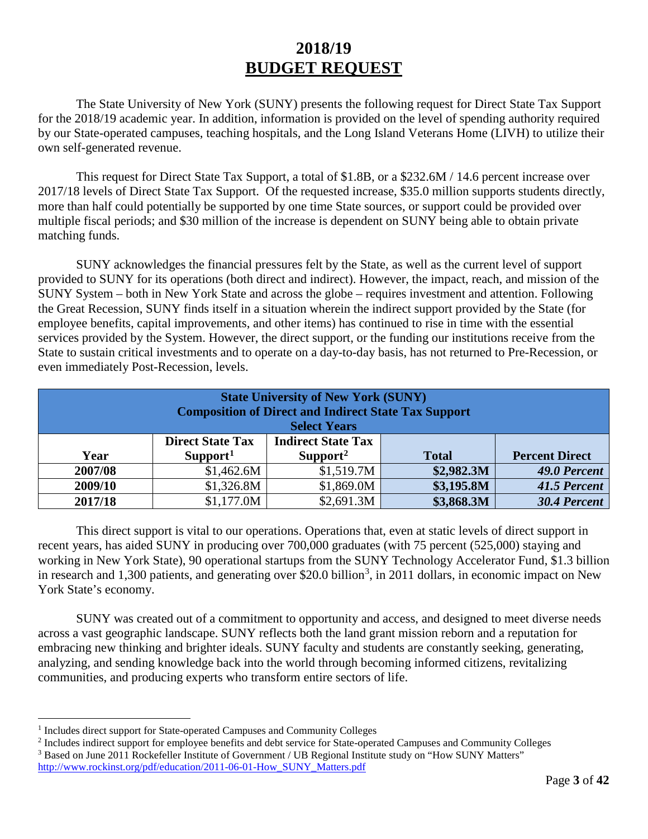## **2018/19 BUDGET REQUEST**

The State University of New York (SUNY) presents the following request for Direct State Tax Support for the 2018/19 academic year. In addition, information is provided on the level of spending authority required by our State-operated campuses, teaching hospitals, and the Long Island Veterans Home (LIVH) to utilize their own self-generated revenue.

This request for Direct State Tax Support, a total of \$1.8B, or a \$232.6M / 14.6 percent increase over 2017/18 levels of Direct State Tax Support. Of the requested increase, \$35.0 million supports students directly, more than half could potentially be supported by one time State sources, or support could be provided over multiple fiscal periods; and \$30 million of the increase is dependent on SUNY being able to obtain private matching funds.

SUNY acknowledges the financial pressures felt by the State, as well as the current level of support provided to SUNY for its operations (both direct and indirect). However, the impact, reach, and mission of the SUNY System – both in New York State and across the globe – requires investment and attention. Following the Great Recession, SUNY finds itself in a situation wherein the indirect support provided by the State (for employee benefits, capital improvements, and other items) has continued to rise in time with the essential services provided by the System. However, the direct support, or the funding our institutions receive from the State to sustain critical investments and to operate on a day-to-day basis, has not returned to Pre-Recession, or even immediately Post-Recession, levels.

| <b>State University of New York (SUNY)</b><br><b>Composition of Direct and Indirect State Tax Support</b><br><b>Select Years</b> |                                                 |                                                   |              |                       |  |  |  |  |
|----------------------------------------------------------------------------------------------------------------------------------|-------------------------------------------------|---------------------------------------------------|--------------|-----------------------|--|--|--|--|
| Year                                                                                                                             | <b>Direct State Tax</b><br>Support <sup>1</sup> | <b>Indirect State Tax</b><br>Support <sup>2</sup> | <b>Total</b> | <b>Percent Direct</b> |  |  |  |  |
|                                                                                                                                  |                                                 |                                                   |              |                       |  |  |  |  |
| 2007/08                                                                                                                          | \$1,462.6M                                      | \$1,519.7M                                        | \$2,982.3M   | 49.0 Percent          |  |  |  |  |
| 2009/10                                                                                                                          | \$1,326.8M                                      | \$1,869.0M                                        | \$3,195.8M   | 41.5 Percent          |  |  |  |  |
| 2017/18                                                                                                                          | \$1,177.0M                                      | \$2,691.3M                                        | \$3,868.3M   | 30.4 Percent          |  |  |  |  |

This direct support is vital to our operations. Operations that, even at static levels of direct support in recent years, has aided SUNY in producing over 700,000 graduates (with 75 percent (525,000) staying and working in New York State), 90 operational startups from the SUNY Technology Accelerator Fund, \$1.3 billion in research and 1,[3](#page-7-2)00 patients, and generating over \$20.0 billion<sup>3</sup>, in 2011 dollars, in economic impact on New York State's economy.

SUNY was created out of a commitment to opportunity and access, and designed to meet diverse needs across a vast geographic landscape. SUNY reflects both the land grant mission reborn and a reputation for embracing new thinking and brighter ideals. SUNY faculty and students are constantly seeking, generating, analyzing, and sending knowledge back into the world through becoming informed citizens, revitalizing communities, and producing experts who transform entire sectors of life.

<span id="page-7-0"></span><sup>&</sup>lt;sup>1</sup> Includes direct support for State-operated Campuses and Community Colleges

<span id="page-7-2"></span><span id="page-7-1"></span><sup>2</sup> Includes indirect support for employee benefits and debt service for State-operated Campuses and Community Colleges <sup>3</sup> Based on June 2011 Rockefeller Institute of Government / UB Regional Institute study on "How SUNY Matters"

[http://www.rockinst.org/pdf/education/2011-06-01-How\\_SUNY\\_Matters.pdf](http://www.rockinst.org/pdf/education/2011-06-01-How_SUNY_Matters.pdf)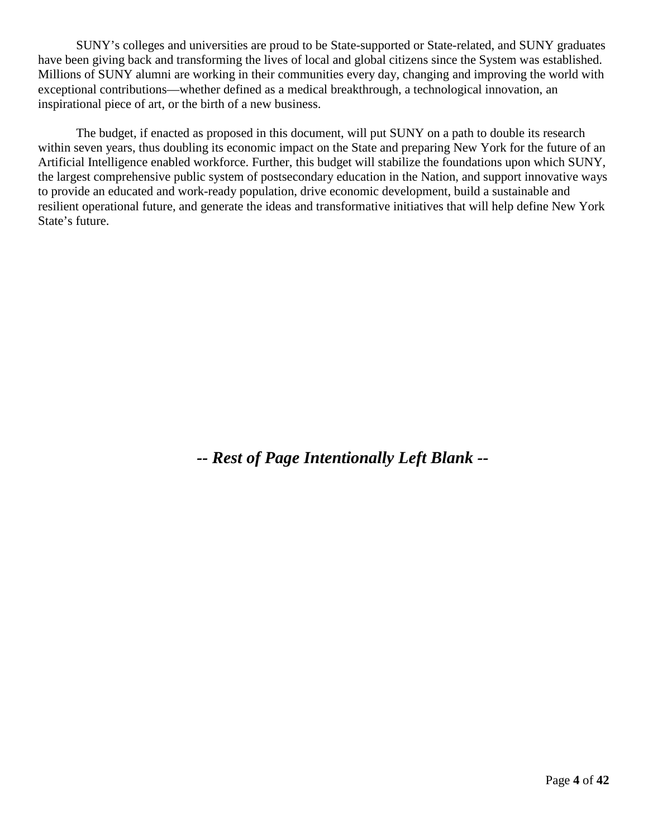SUNY's colleges and universities are proud to be State-supported or State-related, and SUNY graduates have been giving back and transforming the lives of local and global citizens since the System was established. Millions of SUNY alumni are working in their communities every day, changing and improving the world with exceptional contributions—whether defined as a medical breakthrough, a technological innovation, an inspirational piece of art, or the birth of a new business.

The budget, if enacted as proposed in this document, will put SUNY on a path to double its research within seven years, thus doubling its economic impact on the State and preparing New York for the future of an Artificial Intelligence enabled workforce. Further, this budget will stabilize the foundations upon which SUNY, the largest comprehensive public system of postsecondary education in the Nation, and support innovative ways to provide an educated and work-ready population, drive economic development, build a sustainable and resilient operational future, and generate the ideas and transformative initiatives that will help define New York State's future.

*-- Rest of Page Intentionally Left Blank --*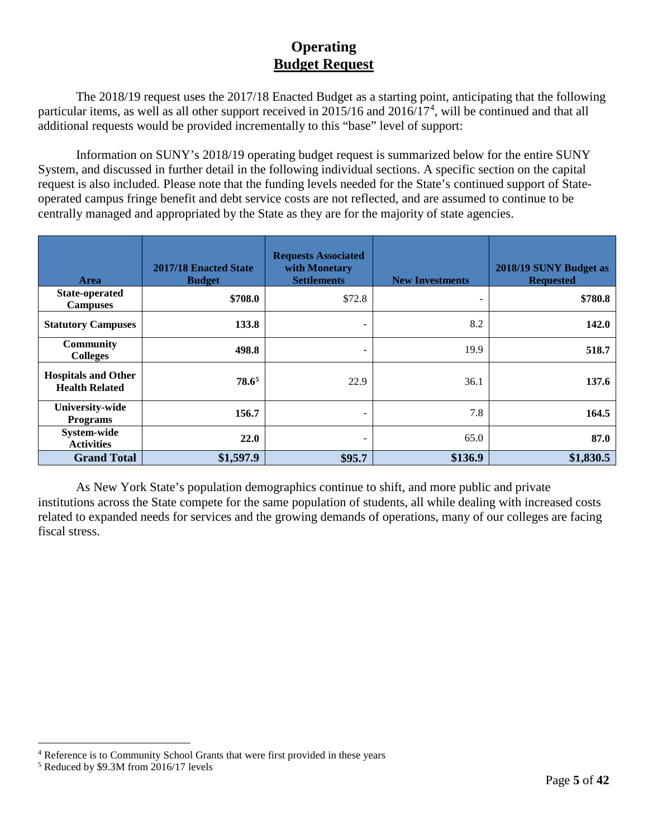### **Operating Budget Request**

The 2018/19 request uses the 2017/18 Enacted Budget as a starting point, anticipating that the following particular items, as well as all other support received in 2015/16 and 2016/17<sup>[4](#page-9-0)</sup>, will be continued and that all additional requests would be provided incrementally to this "base" level of support:

Information on SUNY's 2018/19 operating budget request is summarized below for the entire SUNY System, and discussed in further detail in the following individual sections. A specific section on the capital request is also included. Please note that the funding levels needed for the State's continued support of Stateoperated campus fringe benefit and debt service costs are not reflected, and are assumed to continue to be centrally managed and appropriated by the State as they are for the majority of state agencies.

| <b>Area</b>                                         | 2017/18 Enacted State<br><b>Budget</b> | <b>Requests Associated</b><br>with Monetary<br><b>Settlements</b> | <b>New Investments</b>   | 2018/19 SUNY Budget as<br><b>Requested</b> |
|-----------------------------------------------------|----------------------------------------|-------------------------------------------------------------------|--------------------------|--------------------------------------------|
| <b>State-operated</b><br><b>Campuses</b>            | \$708.0                                | \$72.8                                                            | $\overline{\phantom{0}}$ | \$780.8                                    |
| <b>Statutory Campuses</b>                           | 133.8                                  | ۰                                                                 | 8.2                      | 142.0                                      |
| <b>Community</b><br><b>Colleges</b>                 | 498.8                                  | $\overline{\phantom{0}}$                                          | 19.9                     | 518.7                                      |
| <b>Hospitals and Other</b><br><b>Health Related</b> | $78.6^5$                               | 22.9                                                              | 36.1                     | 137.6                                      |
| <b>University-wide</b><br><b>Programs</b>           | 156.7                                  | ۰                                                                 | 7.8                      | 164.5                                      |
| System-wide<br><b>Activities</b>                    | <b>22.0</b>                            | ۰                                                                 | 65.0                     | 87.0                                       |
| <b>Grand Total</b>                                  | \$1,597.9                              | \$95.7                                                            | \$136.9                  | \$1,830.5                                  |

As New York State's population demographics continue to shift, and more public and private institutions across the State compete for the same population of students, all while dealing with increased costs related to expanded needs for services and the growing demands of operations, many of our colleges are facing fiscal stress.

<span id="page-9-0"></span> <sup>4</sup> Reference is to Community School Grants that were first provided in these years

<span id="page-9-1"></span><sup>5</sup> Reduced by \$9.3M from 2016/17 levels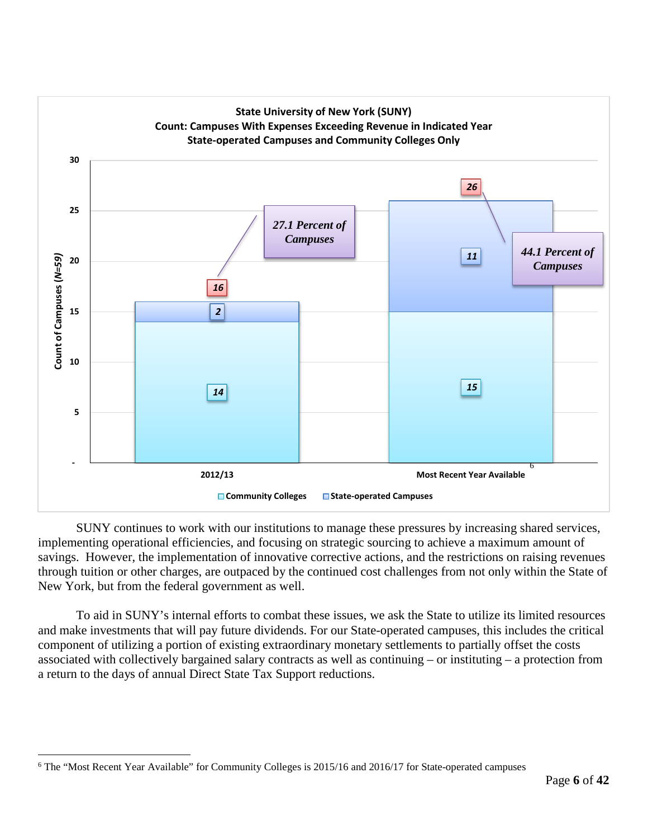

SUNY continues to work with our institutions to manage these pressures by increasing shared services, implementing operational efficiencies, and focusing on strategic sourcing to achieve a maximum amount of savings. However, the implementation of innovative corrective actions, and the restrictions on raising revenues through tuition or other charges, are outpaced by the continued cost challenges from not only within the State of New York, but from the federal government as well.

To aid in SUNY's internal efforts to combat these issues, we ask the State to utilize its limited resources and make investments that will pay future dividends. For our State-operated campuses, this includes the critical component of utilizing a portion of existing extraordinary monetary settlements to partially offset the costs associated with collectively bargained salary contracts as well as continuing – or instituting – a protection from a return to the days of annual Direct State Tax Support reductions.

<span id="page-10-0"></span> <sup>6</sup> The "Most Recent Year Available" for Community Colleges is 2015/16 and 2016/17 for State-operated campuses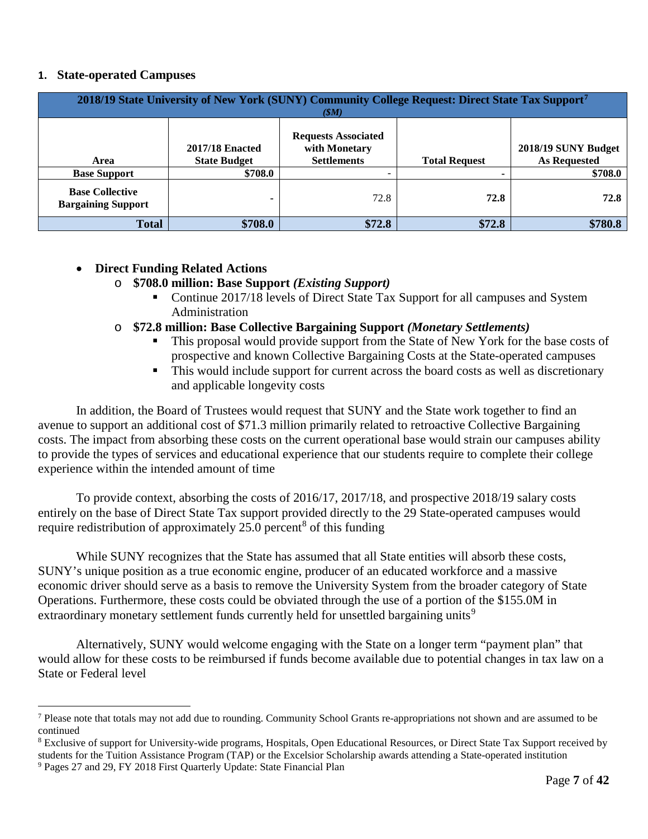#### **1. State-operated Campuses**

|                                                     | 2018/19 State University of New York (SUNY) Community College Request: Direct State Tax Support <sup>7</sup><br>(SM) |                                                                   |                      |                                            |  |  |  |  |  |
|-----------------------------------------------------|----------------------------------------------------------------------------------------------------------------------|-------------------------------------------------------------------|----------------------|--------------------------------------------|--|--|--|--|--|
| Area                                                | <b>2017/18 Enacted</b><br><b>State Budget</b>                                                                        | <b>Requests Associated</b><br>with Monetary<br><b>Settlements</b> | <b>Total Request</b> | 2018/19 SUNY Budget<br><b>As Requested</b> |  |  |  |  |  |
| <b>Base Support</b>                                 | \$708.0                                                                                                              |                                                                   |                      | \$708.0                                    |  |  |  |  |  |
| <b>Base Collective</b><br><b>Bargaining Support</b> |                                                                                                                      | 72.8                                                              | 72.8                 | 72.8                                       |  |  |  |  |  |
| <b>Total</b>                                        | \$708.0                                                                                                              | \$72.8                                                            | \$72.8               | \$780.8                                    |  |  |  |  |  |

#### • **Direct Funding Related Actions**

- o **\$708.0 million: Base Support** *(Existing Support)*
	- Continue 2017/18 levels of Direct State Tax Support for all campuses and System Administration
- o **\$72.8 million: Base Collective Bargaining Support** *(Monetary Settlements)*
	- This proposal would provide support from the State of New York for the base costs of prospective and known Collective Bargaining Costs at the State-operated campuses
	- This would include support for current across the board costs as well as discretionary and applicable longevity costs

In addition, the Board of Trustees would request that SUNY and the State work together to find an avenue to support an additional cost of \$71.3 million primarily related to retroactive Collective Bargaining costs. The impact from absorbing these costs on the current operational base would strain our campuses ability to provide the types of services and educational experience that our students require to complete their college experience within the intended amount of time

To provide context, absorbing the costs of 2016/17, 2017/18, and prospective 2018/19 salary costs entirely on the base of Direct State Tax support provided directly to the 29 State-operated campuses would require redistribution of approximately  $25.0$  percent<sup>[8](#page-11-1)</sup> of this funding

While SUNY recognizes that the State has assumed that all State entities will absorb these costs, SUNY's unique position as a true economic engine, producer of an educated workforce and a massive economic driver should serve as a basis to remove the University System from the broader category of State Operations. Furthermore, these costs could be obviated through the use of a portion of the \$155.0M in extraordinary monetary settlement funds currently held for unsettled bargaining units<sup>[9](#page-11-2)</sup>

Alternatively, SUNY would welcome engaging with the State on a longer term "payment plan" that would allow for these costs to be reimbursed if funds become available due to potential changes in tax law on a State or Federal level

<span id="page-11-0"></span> <sup>7</sup> Please note that totals may not add due to rounding. Community School Grants re-appropriations not shown and are assumed to be continued

<span id="page-11-2"></span><span id="page-11-1"></span><sup>&</sup>lt;sup>8</sup> Exclusive of support for University-wide programs, Hospitals, Open Educational Resources, or Direct State Tax Support received by students for the Tuition Assistance Program (TAP) or the Excelsior Scholarship awards attending a State-operated institution <sup>9</sup> Pages 27 and 29, FY 2018 First Quarterly Update: State Financial Plan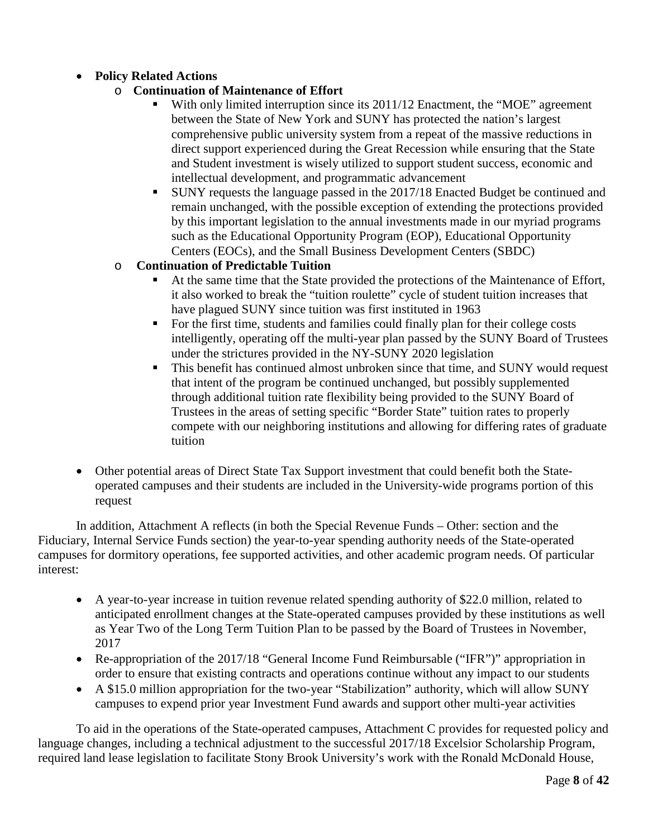#### • **Policy Related Actions**

- o **Continuation of Maintenance of Effort**
	- With only limited interruption since its 2011/12 Enactment, the "MOE" agreement between the State of New York and SUNY has protected the nation's largest comprehensive public university system from a repeat of the massive reductions in direct support experienced during the Great Recession while ensuring that the State and Student investment is wisely utilized to support student success, economic and intellectual development, and programmatic advancement
	- SUNY requests the language passed in the 2017/18 Enacted Budget be continued and remain unchanged, with the possible exception of extending the protections provided by this important legislation to the annual investments made in our myriad programs such as the Educational Opportunity Program (EOP), Educational Opportunity Centers (EOCs), and the Small Business Development Centers (SBDC)

#### o **Continuation of Predictable Tuition**

- At the same time that the State provided the protections of the Maintenance of Effort, it also worked to break the "tuition roulette" cycle of student tuition increases that have plagued SUNY since tuition was first instituted in 1963
- For the first time, students and families could finally plan for their college costs intelligently, operating off the multi-year plan passed by the SUNY Board of Trustees under the strictures provided in the NY-SUNY 2020 legislation
- This benefit has continued almost unbroken since that time, and SUNY would request that intent of the program be continued unchanged, but possibly supplemented through additional tuition rate flexibility being provided to the SUNY Board of Trustees in the areas of setting specific "Border State" tuition rates to properly compete with our neighboring institutions and allowing for differing rates of graduate tuition
- Other potential areas of Direct State Tax Support investment that could benefit both the Stateoperated campuses and their students are included in the University-wide programs portion of this request

In addition, Attachment A reflects (in both the Special Revenue Funds – Other: section and the Fiduciary, Internal Service Funds section) the year-to-year spending authority needs of the State-operated campuses for dormitory operations, fee supported activities, and other academic program needs. Of particular interest:

- A year-to-year increase in tuition revenue related spending authority of \$22.0 million, related to anticipated enrollment changes at the State-operated campuses provided by these institutions as well as Year Two of the Long Term Tuition Plan to be passed by the Board of Trustees in November, 2017
- Re-appropriation of the 2017/18 "General Income Fund Reimbursable ("IFR")" appropriation in order to ensure that existing contracts and operations continue without any impact to our students
- A \$15.0 million appropriation for the two-year "Stabilization" authority, which will allow SUNY campuses to expend prior year Investment Fund awards and support other multi-year activities

To aid in the operations of the State-operated campuses, Attachment C provides for requested policy and language changes, including a technical adjustment to the successful 2017/18 Excelsior Scholarship Program, required land lease legislation to facilitate Stony Brook University's work with the Ronald McDonald House,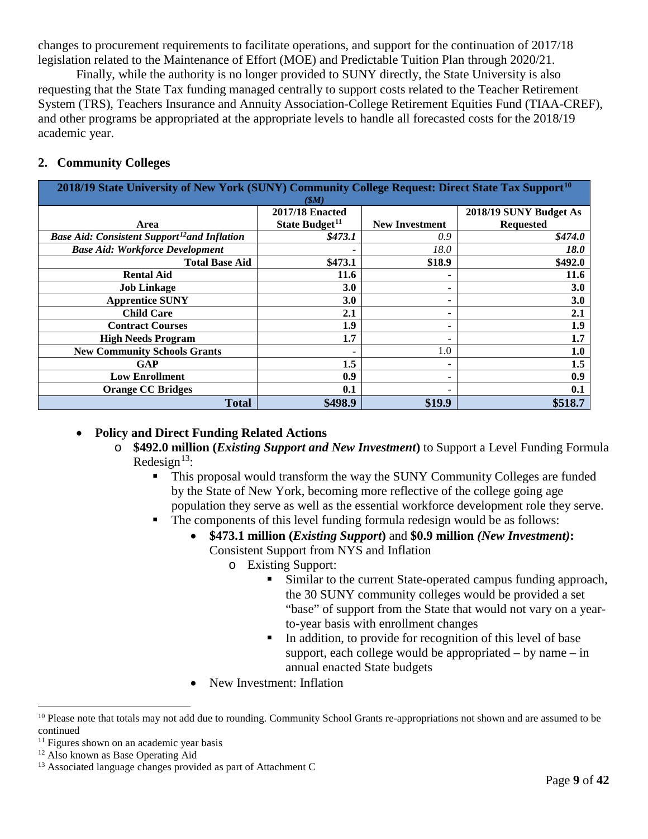changes to procurement requirements to facilitate operations, and support for the continuation of 2017/18 legislation related to the Maintenance of Effort (MOE) and Predictable Tuition Plan through 2020/21.

Finally, while the authority is no longer provided to SUNY directly, the State University is also requesting that the State Tax funding managed centrally to support costs related to the Teacher Retirement System (TRS), Teachers Insurance and Annuity Association-College Retirement Equities Fund (TIAA-CREF), and other programs be appropriated at the appropriate levels to handle all forecasted costs for the 2018/19 academic year.

#### **2. Community Colleges**

| 2018/19 State University of New York (SUNY) Community College Request: Direct State Tax Support <sup>10</sup><br>(SM) |                            |                          |                        |  |  |  |  |
|-----------------------------------------------------------------------------------------------------------------------|----------------------------|--------------------------|------------------------|--|--|--|--|
|                                                                                                                       | <b>2017/18 Enacted</b>     |                          | 2018/19 SUNY Budget As |  |  |  |  |
| Area                                                                                                                  | State Budget <sup>11</sup> | <b>New Investment</b>    | <b>Requested</b>       |  |  |  |  |
| <b>Base Aid: Consistent Support<sup>12</sup>and Inflation</b>                                                         | \$473.1                    | 0.9                      | \$474.0                |  |  |  |  |
| <b>Base Aid: Workforce Development</b>                                                                                |                            | 18.0                     | <i>18.0</i>            |  |  |  |  |
| <b>Total Base Aid</b>                                                                                                 | \$473.1                    | \$18.9                   | \$492.0                |  |  |  |  |
| <b>Rental Aid</b>                                                                                                     | 11.6                       |                          | 11.6                   |  |  |  |  |
| <b>Job Linkage</b>                                                                                                    | 3.0                        |                          | 3.0                    |  |  |  |  |
| <b>Apprentice SUNY</b>                                                                                                | 3.0                        |                          | 3.0                    |  |  |  |  |
| <b>Child Care</b>                                                                                                     | 2.1                        | $\overline{\phantom{0}}$ | 2.1                    |  |  |  |  |
| <b>Contract Courses</b>                                                                                               | 1.9                        |                          | 1.9                    |  |  |  |  |
| <b>High Needs Program</b>                                                                                             | 1.7                        |                          | 1.7                    |  |  |  |  |
| <b>New Community Schools Grants</b>                                                                                   |                            | 1.0                      | 1.0                    |  |  |  |  |
| GAP                                                                                                                   | 1.5                        |                          | 1.5                    |  |  |  |  |
| <b>Low Enrollment</b>                                                                                                 | 0.9                        |                          | 0.9                    |  |  |  |  |
| <b>Orange CC Bridges</b>                                                                                              | 0.1                        | $\overline{\phantom{0}}$ | 0.1                    |  |  |  |  |
| <b>Total</b>                                                                                                          | \$498.9                    | \$19.9                   | \$518.7                |  |  |  |  |

#### • **Policy and Direct Funding Related Actions**

- o **\$492.0 million (***Existing Support and New Investment***)** to Support a Level Funding Formula Redesign $^{13}$  $^{13}$  $^{13}$ :
	- This proposal would transform the way the SUNY Community Colleges are funded by the State of New York, becoming more reflective of the college going age population they serve as well as the essential workforce development role they serve.
	- The components of this level funding formula redesign would be as follows:
		- **\$473.1 million (***Existing Support***)** and **\$0.9 million** *(New Investment)***:** Consistent Support from NYS and Inflation
			- o Existing Support:
				- Similar to the current State-operated campus funding approach, the 30 SUNY community colleges would be provided a set "base" of support from the State that would not vary on a yearto-year basis with enrollment changes
				- In addition, to provide for recognition of this level of base support, each college would be appropriated – by name – in annual enacted State budgets
		- New Investment: Inflation

<span id="page-13-0"></span><sup>&</sup>lt;sup>10</sup> Please note that totals may not add due to rounding. Community School Grants re-appropriations not shown and are assumed to be continued

<span id="page-13-1"></span> $11$  Figures shown on an academic year basis

<span id="page-13-2"></span><sup>&</sup>lt;sup>12</sup> Also known as Base Operating Aid

<span id="page-13-3"></span><sup>&</sup>lt;sup>13</sup> Associated language changes provided as part of Attachment C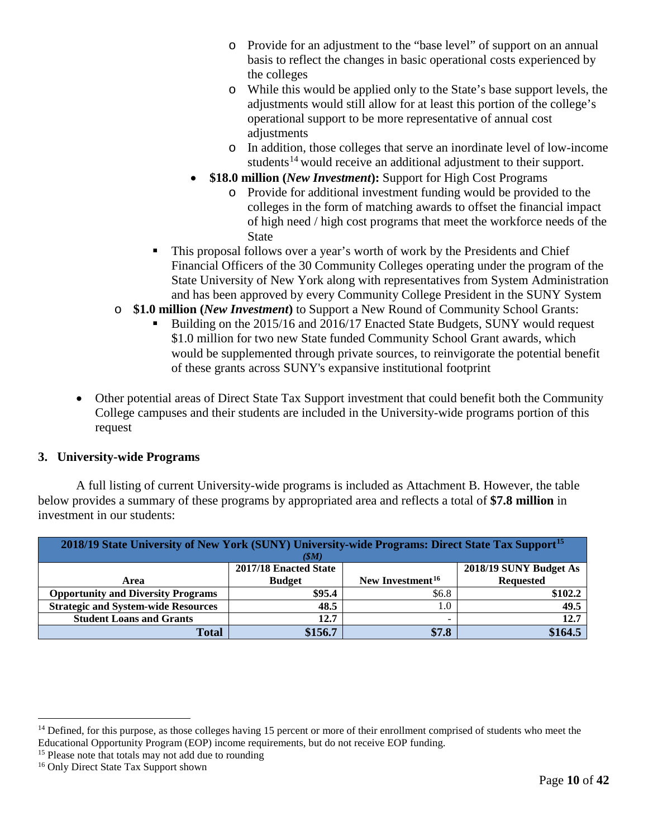- o Provide for an adjustment to the "base level" of support on an annual basis to reflect the changes in basic operational costs experienced by the colleges
- o While this would be applied only to the State's base support levels, the adjustments would still allow for at least this portion of the college's operational support to be more representative of annual cost adjustments
- o In addition, those colleges that serve an inordinate level of low-income students<sup>[14](#page-14-0)</sup> would receive an additional adjustment to their support.
- **\$18.0 million** (*New Investment*): Support for High Cost Programs
	- o Provide for additional investment funding would be provided to the colleges in the form of matching awards to offset the financial impact of high need / high cost programs that meet the workforce needs of the State
- This proposal follows over a year's worth of work by the Presidents and Chief Financial Officers of the 30 Community Colleges operating under the program of the State University of New York along with representatives from System Administration and has been approved by every Community College President in the SUNY System
- o **\$1.0 million (***New Investment***)** to Support a New Round of Community School Grants:
	- Building on the 2015/16 and 2016/17 Enacted State Budgets, SUNY would request \$1.0 million for two new State funded Community School Grant awards, which would be supplemented through private sources, to reinvigorate the potential benefit of these grants across SUNY's expansive institutional footprint
- Other potential areas of Direct State Tax Support investment that could benefit both the Community College campuses and their students are included in the University-wide programs portion of this request

#### **3. University-wide Programs**

A full listing of current University-wide programs is included as Attachment B. However, the table below provides a summary of these programs by appropriated area and reflects a total of **\$7.8 million** in investment in our students:

| 2018/19 State University of New York (SUNY) University-wide Programs: Direct State Tax Support <sup>15</sup><br>(SM) |               |                              |                  |  |  |  |  |  |
|----------------------------------------------------------------------------------------------------------------------|---------------|------------------------------|------------------|--|--|--|--|--|
| 2017/18 Enacted State<br>2018/19 SUNY Budget As                                                                      |               |                              |                  |  |  |  |  |  |
| Area                                                                                                                 | <b>Budget</b> | New Investment <sup>16</sup> | <b>Requested</b> |  |  |  |  |  |
| <b>Opportunity and Diversity Programs</b>                                                                            | \$95.4        | \$6.8                        | \$102.2          |  |  |  |  |  |
| <b>Strategic and System-wide Resources</b>                                                                           | 48.5          | 1.0                          | 49.5             |  |  |  |  |  |
| <b>Student Loans and Grants</b>                                                                                      | 12.7          |                              | 12.7             |  |  |  |  |  |
| <b>Total</b>                                                                                                         | \$156.7       | \$7.8                        | \$164.5          |  |  |  |  |  |

<span id="page-14-0"></span><sup>&</sup>lt;sup>14</sup> Defined, for this purpose, as those colleges having 15 percent or more of their enrollment comprised of students who meet the Educational Opportunity Program (EOP) income requirements, but do not receive EOP funding.

<span id="page-14-1"></span><sup>&</sup>lt;sup>15</sup> Please note that totals may not add due to rounding

<span id="page-14-2"></span><sup>16</sup> Only Direct State Tax Support shown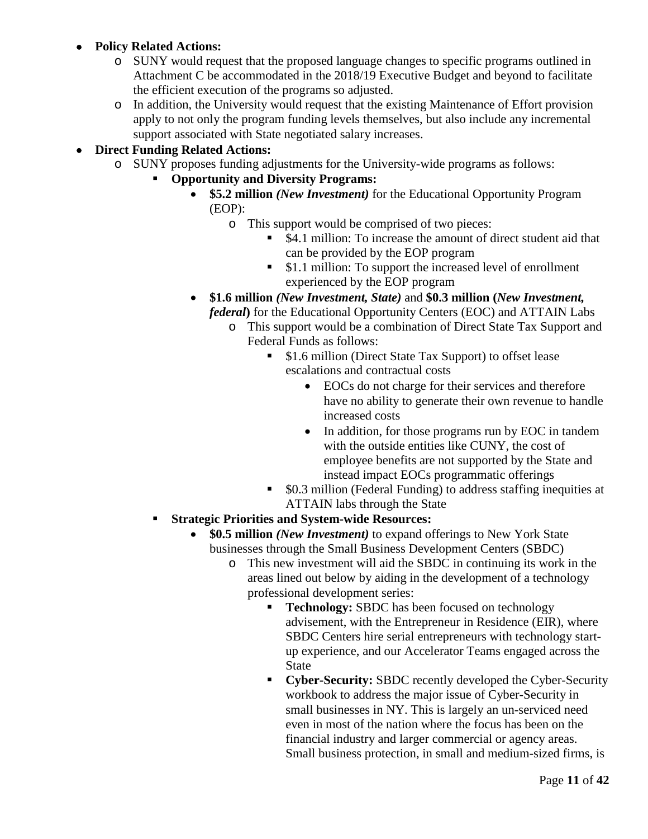#### • **Policy Related Actions:**

- o SUNY would request that the proposed language changes to specific programs outlined in Attachment C be accommodated in the 2018/19 Executive Budget and beyond to facilitate the efficient execution of the programs so adjusted.
- o In addition, the University would request that the existing Maintenance of Effort provision apply to not only the program funding levels themselves, but also include any incremental support associated with State negotiated salary increases.

#### • **Direct Funding Related Actions:**

- o SUNY proposes funding adjustments for the University-wide programs as follows:
	- **Opportunity and Diversity Programs:**
		- **\$5.2 million** *(New Investment)* for the Educational Opportunity Program (EOP):
			- o This support would be comprised of two pieces:
				- \$4.1 million: To increase the amount of direct student aid that can be provided by the EOP program
				- \$1.1 million: To support the increased level of enrollment experienced by the EOP program
		- **\$1.6 million** *(New Investment, State)* and **\$0.3 million (***New Investment, federal***)** for the Educational Opportunity Centers (EOC) and ATTAIN Labs
			- o This support would be a combination of Direct State Tax Support and Federal Funds as follows:
				- \$1.6 million (Direct State Tax Support) to offset lease escalations and contractual costs
					- EOCs do not charge for their services and therefore have no ability to generate their own revenue to handle increased costs
					- In addition, for those programs run by EOC in tandem with the outside entities like CUNY, the cost of employee benefits are not supported by the State and instead impact EOCs programmatic offerings
				- \$0.3 million (Federal Funding) to address staffing inequities at ATTAIN labs through the State
	- **Strategic Priorities and System-wide Resources:**
		- **\$0.5 million** *(New Investment)* to expand offerings to New York State businesses through the Small Business Development Centers (SBDC)
			- o This new investment will aid the SBDC in continuing its work in the areas lined out below by aiding in the development of a technology professional development series:
				- **Technology:** SBDC has been focused on technology advisement, with the Entrepreneur in Residence (EIR), where SBDC Centers hire serial entrepreneurs with technology startup experience, and our Accelerator Teams engaged across the State
				- **Cyber-Security:** SBDC recently developed the Cyber-Security workbook to address the major issue of Cyber-Security in small businesses in NY. This is largely an un-serviced need even in most of the nation where the focus has been on the financial industry and larger commercial or agency areas. Small business protection, in small and medium-sized firms, is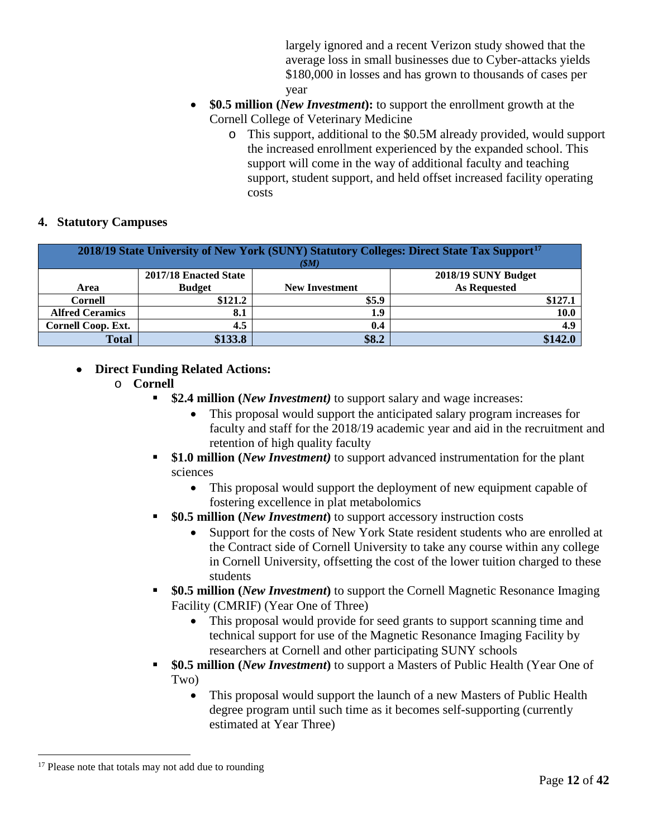largely ignored and a recent Verizon study showed that the average loss in small businesses due to Cyber-attacks yields \$180,000 in losses and has grown to thousands of cases per year

- **\$0.5 million** (*New Investment*): to support the enrollment growth at the Cornell College of Veterinary Medicine
	- o This support, additional to the \$0.5M already provided, would support the increased enrollment experienced by the expanded school. This support will come in the way of additional faculty and teaching support, student support, and held offset increased facility operating costs

#### **4. Statutory Campuses**

| 2018/19 State University of New York (SUNY) Statutory Colleges: Direct State Tax Support <sup>17</sup><br>(SM) |               |                       |                     |  |  |  |  |
|----------------------------------------------------------------------------------------------------------------|---------------|-----------------------|---------------------|--|--|--|--|
| 2017/18 Enacted State<br>2018/19 SUNY Budget                                                                   |               |                       |                     |  |  |  |  |
| Area                                                                                                           | <b>Budget</b> | <b>New Investment</b> | <b>As Requested</b> |  |  |  |  |
| <b>Cornell</b>                                                                                                 | \$121.2       | \$5.9                 | \$127.1             |  |  |  |  |
| <b>Alfred Ceramics</b>                                                                                         | 8.1           | 1.9                   | 10.0                |  |  |  |  |
| Cornell Coop. Ext.                                                                                             | 4.5           | 0.4                   | 4.9                 |  |  |  |  |
| <b>Total</b>                                                                                                   | \$133.8       | \$8.2                 | \$142.              |  |  |  |  |

#### • **Direct Funding Related Actions:**

- o **Cornell**
	- **\$2.4 million (***New Investment)* to support salary and wage increases:
		- This proposal would support the anticipated salary program increases for faculty and staff for the 2018/19 academic year and aid in the recruitment and retention of high quality faculty
	- **\$1.0 million (***New Investment)* to support advanced instrumentation for the plant sciences
		- This proposal would support the deployment of new equipment capable of fostering excellence in plat metabolomics
	- **<sup>80.5</sup> million (***New Investment***)** to support accessory instruction costs
		- Support for the costs of New York State resident students who are enrolled at the Contract side of Cornell University to take any course within any college in Cornell University, offsetting the cost of the lower tuition charged to these students
	- **\$0.5 million (***New Investment***)** to support the Cornell Magnetic Resonance Imaging Facility (CMRIF) (Year One of Three)
		- This proposal would provide for seed grants to support scanning time and technical support for use of the Magnetic Resonance Imaging Facility by researchers at Cornell and other participating SUNY schools
	- **\$0.5 million (***New Investment***)** to support a Masters of Public Health (Year One of Two)
		- This proposal would support the launch of a new Masters of Public Health degree program until such time as it becomes self-supporting (currently estimated at Year Three)

<span id="page-16-0"></span><sup>&</sup>lt;sup>17</sup> Please note that totals may not add due to rounding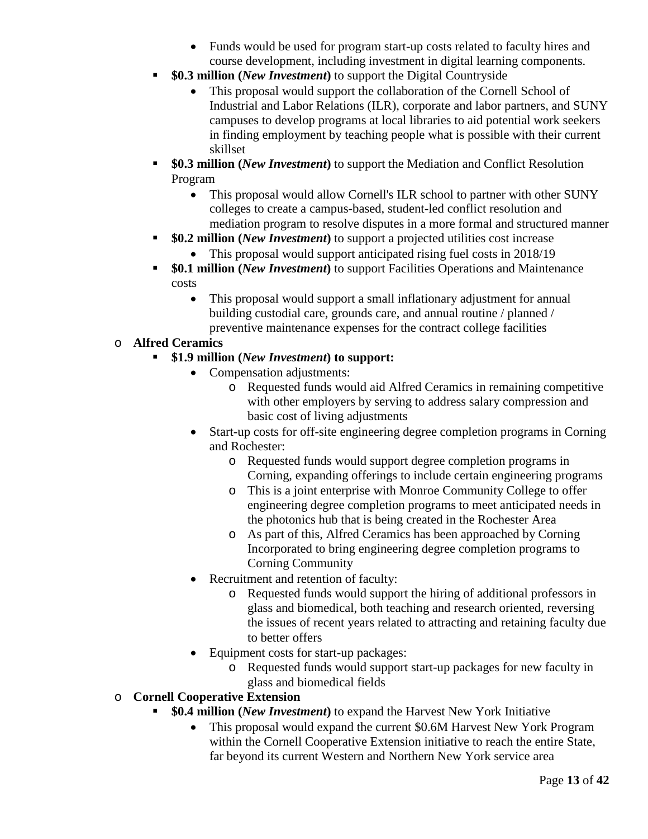- Funds would be used for program start-up costs related to faculty hires and course development, including investment in digital learning components.
- **\$0.3 million (***New Investment***)** to support the Digital Countryside
	- This proposal would support the collaboration of the Cornell School of Industrial and Labor Relations (ILR), corporate and labor partners, and SUNY campuses to develop programs at local libraries to aid potential work seekers in finding employment by teaching people what is possible with their current skillset
- **\$0.3 million (***New Investment***)** to support the Mediation and Conflict Resolution Program
	- This proposal would allow Cornell's ILR school to partner with other SUNY colleges to create a campus-based, student-led conflict resolution and mediation program to resolve disputes in a more formal and structured manner
- **\$0.2 million (***New Investment***)** to support a projected utilities cost increase
	- This proposal would support anticipated rising fuel costs in 2018/19
- **\$0.1 million (***New Investment*) to support Facilities Operations and Maintenance costs
	- This proposal would support a small inflationary adjustment for annual building custodial care, grounds care, and annual routine / planned / preventive maintenance expenses for the contract college facilities

#### o **Alfred Ceramics**

- **\$1.9 million (***New Investment***) to support:**
	- Compensation adjustments:
		- o Requested funds would aid Alfred Ceramics in remaining competitive with other employers by serving to address salary compression and basic cost of living adjustments
	- Start-up costs for off-site engineering degree completion programs in Corning and Rochester:
		- o Requested funds would support degree completion programs in Corning, expanding offerings to include certain engineering programs
		- o This is a joint enterprise with Monroe Community College to offer engineering degree completion programs to meet anticipated needs in the photonics hub that is being created in the Rochester Area
		- o As part of this, Alfred Ceramics has been approached by Corning Incorporated to bring engineering degree completion programs to Corning Community
	- Recruitment and retention of faculty:
		- o Requested funds would support the hiring of additional professors in glass and biomedical, both teaching and research oriented, reversing the issues of recent years related to attracting and retaining faculty due to better offers
	- Equipment costs for start-up packages:
		- o Requested funds would support start-up packages for new faculty in glass and biomedical fields

#### o **Cornell Cooperative Extension**

- **\$0.4 million (***New Investment***)** to expand the Harvest New York Initiative
	- This proposal would expand the current \$0.6M Harvest New York Program within the Cornell Cooperative Extension initiative to reach the entire State, far beyond its current Western and Northern New York service area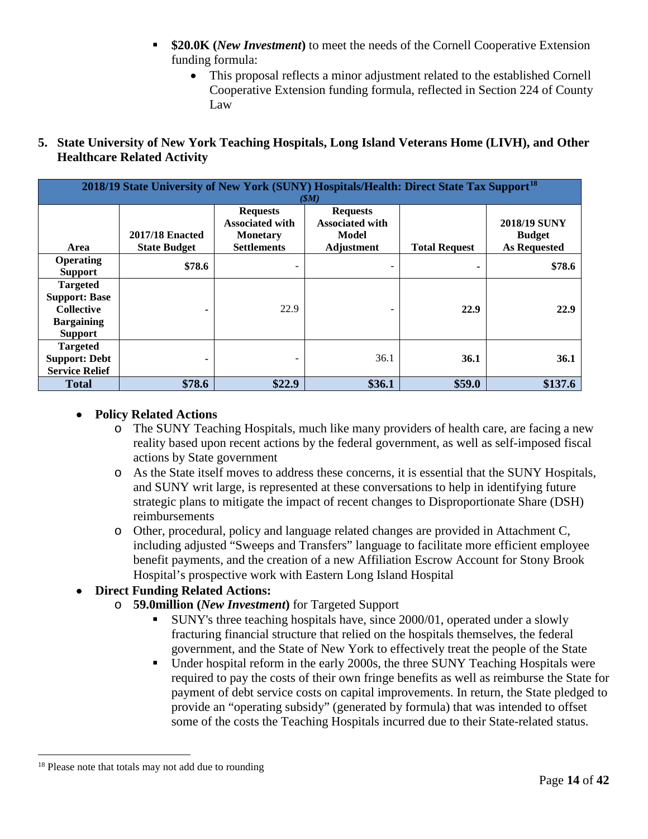- **\$20.0K (***New Investment***)** to meet the needs of the Cornell Cooperative Extension funding formula:
	- This proposal reflects a minor adjustment related to the established Cornell Cooperative Extension funding formula, reflected in Section 224 of County Law
- **5. State University of New York Teaching Hospitals, Long Island Veterans Home (LIVH), and Other Healthcare Related Activity**

|                                                                                                     | 2018/19 State University of New York (SUNY) Hospitals/Health: Direct State Tax Support <sup>18</sup><br>(SM) |                                                                                    |                                                                  |                      |                                                             |  |  |  |  |
|-----------------------------------------------------------------------------------------------------|--------------------------------------------------------------------------------------------------------------|------------------------------------------------------------------------------------|------------------------------------------------------------------|----------------------|-------------------------------------------------------------|--|--|--|--|
| Area                                                                                                | <b>2017/18 Enacted</b><br><b>State Budget</b>                                                                | <b>Requests</b><br><b>Associated with</b><br><b>Monetary</b><br><b>Settlements</b> | <b>Requests</b><br><b>Associated with</b><br>Model<br>Adjustment | <b>Total Request</b> | <b>2018/19 SUNY</b><br><b>Budget</b><br><b>As Requested</b> |  |  |  |  |
| <b>Operating</b><br><b>Support</b>                                                                  | \$78.6                                                                                                       |                                                                                    |                                                                  | ۰                    | \$78.6                                                      |  |  |  |  |
| <b>Targeted</b><br><b>Support: Base</b><br><b>Collective</b><br><b>Bargaining</b><br><b>Support</b> | ۰                                                                                                            | 22.9                                                                               |                                                                  | 22.9                 | 22.9                                                        |  |  |  |  |
| <b>Targeted</b><br><b>Support: Debt</b><br><b>Service Relief</b>                                    | ۰                                                                                                            |                                                                                    | 36.1                                                             | <b>36.1</b>          | 36.1                                                        |  |  |  |  |
| <b>Total</b>                                                                                        | \$78.6                                                                                                       | \$22.9                                                                             | \$36.1                                                           | \$59.0               | \$137.6                                                     |  |  |  |  |

#### • **Policy Related Actions**

- o The SUNY Teaching Hospitals, much like many providers of health care, are facing a new reality based upon recent actions by the federal government, as well as self-imposed fiscal actions by State government
- o As the State itself moves to address these concerns, it is essential that the SUNY Hospitals, and SUNY writ large, is represented at these conversations to help in identifying future strategic plans to mitigate the impact of recent changes to Disproportionate Share (DSH) reimbursements
- o Other, procedural, policy and language related changes are provided in Attachment C, including adjusted "Sweeps and Transfers" language to facilitate more efficient employee benefit payments, and the creation of a new Affiliation Escrow Account for Stony Brook Hospital's prospective work with Eastern Long Island Hospital

#### • **Direct Funding Related Actions:**

- o **59.0million (***New Investment***)** for Targeted Support
	- SUNY's three teaching hospitals have, since 2000/01, operated under a slowly fracturing financial structure that relied on the hospitals themselves, the federal government, and the State of New York to effectively treat the people of the State
	- Under hospital reform in the early 2000s, the three SUNY Teaching Hospitals were required to pay the costs of their own fringe benefits as well as reimburse the State for payment of debt service costs on capital improvements. In return, the State pledged to provide an "operating subsidy" (generated by formula) that was intended to offset some of the costs the Teaching Hospitals incurred due to their State-related status.

<span id="page-18-0"></span><sup>&</sup>lt;sup>18</sup> Please note that totals may not add due to rounding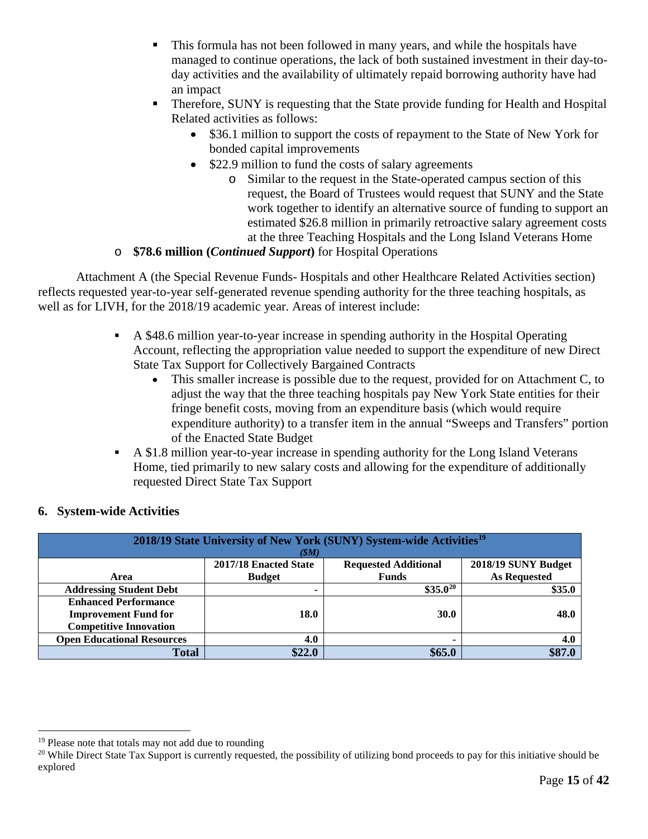- This formula has not been followed in many years, and while the hospitals have managed to continue operations, the lack of both sustained investment in their day-today activities and the availability of ultimately repaid borrowing authority have had an impact
- Therefore, SUNY is requesting that the State provide funding for Health and Hospital Related activities as follows:
	- \$36.1 million to support the costs of repayment to the State of New York for bonded capital improvements
	- \$22.9 million to fund the costs of salary agreements
		- o Similar to the request in the State-operated campus section of this request, the Board of Trustees would request that SUNY and the State work together to identify an alternative source of funding to support an estimated \$26.8 million in primarily retroactive salary agreement costs at the three Teaching Hospitals and the Long Island Veterans Home
- o **\$78.6 million (***Continued Support***)** for Hospital Operations

Attachment A (the Special Revenue Funds- Hospitals and other Healthcare Related Activities section) reflects requested year-to-year self-generated revenue spending authority for the three teaching hospitals, as well as for LIVH, for the 2018/19 academic year. Areas of interest include:

- A \$48.6 million year-to-year increase in spending authority in the Hospital Operating Account, reflecting the appropriation value needed to support the expenditure of new Direct State Tax Support for Collectively Bargained Contracts
	- This smaller increase is possible due to the request, provided for on Attachment C, to adjust the way that the three teaching hospitals pay New York State entities for their fringe benefit costs, moving from an expenditure basis (which would require expenditure authority) to a transfer item in the annual "Sweeps and Transfers" portion of the Enacted State Budget
- A \$1.8 million year-to-year increase in spending authority for the Long Island Veterans Home, tied primarily to new salary costs and allowing for the expenditure of additionally requested Direct State Tax Support

| 2018/19 State University of New York (SUNY) System-wide Activities <sup>19</sup> |               |              |                     |  |  |  |  |  |
|----------------------------------------------------------------------------------|---------------|--------------|---------------------|--|--|--|--|--|
| (SM)                                                                             |               |              |                     |  |  |  |  |  |
| 2017/18 Enacted State<br>2018/19 SUNY Budget<br><b>Requested Additional</b>      |               |              |                     |  |  |  |  |  |
| Area                                                                             | <b>Budget</b> | <b>Funds</b> | <b>As Requested</b> |  |  |  |  |  |
| <b>Addressing Student Debt</b>                                                   |               | $$35.0^{20}$ | \$35.0              |  |  |  |  |  |
| <b>Enhanced Performance</b>                                                      |               |              |                     |  |  |  |  |  |
| <b>Improvement Fund for</b>                                                      | 18.0          | <b>30.0</b>  | 48.0                |  |  |  |  |  |
| <b>Competitive Innovation</b>                                                    |               |              |                     |  |  |  |  |  |
| <b>Open Educational Resources</b>                                                | 4.0           |              | 4.0                 |  |  |  |  |  |
| <b>Total</b>                                                                     | \$22.0        | \$65.0       |                     |  |  |  |  |  |

#### **6. System-wide Activities**

<span id="page-19-0"></span> $19$  Please note that totals may not add due to rounding

<span id="page-19-1"></span><sup>&</sup>lt;sup>20</sup> While Direct State Tax Support is currently requested, the possibility of utilizing bond proceeds to pay for this initiative should be explored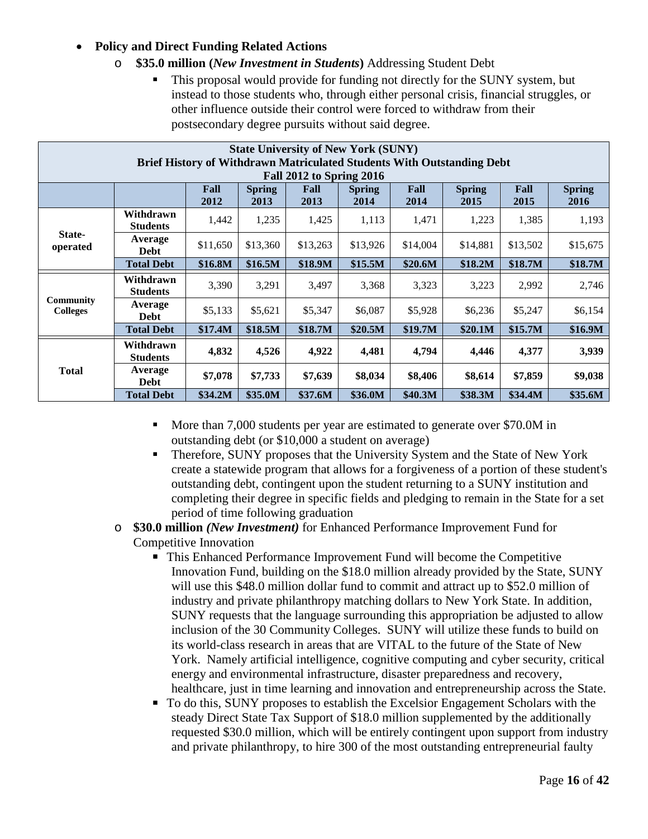#### • **Policy and Direct Funding Related Actions**

- o **\$35.0 million (***New Investment in Students***)** Addressing Student Debt
	- This proposal would provide for funding not directly for the SUNY system, but instead to those students who, through either personal crisis, financial struggles, or other influence outside their control were forced to withdraw from their postsecondary degree pursuits without said degree.

|                                                                                                                                                                  | <b>State University of New York (SUNY)</b>                                                                       |          |          |          |          |          |          |          |          |  |
|------------------------------------------------------------------------------------------------------------------------------------------------------------------|------------------------------------------------------------------------------------------------------------------|----------|----------|----------|----------|----------|----------|----------|----------|--|
|                                                                                                                                                                  | <b>Brief History of Withdrawn Matriculated Students With Outstanding Debt</b><br><b>Fall 2012 to Spring 2016</b> |          |          |          |          |          |          |          |          |  |
| Fall<br>Fall<br>Fall<br>Fall<br><b>Spring</b><br><b>Spring</b><br><b>Spring</b><br><b>Spring</b><br>2012<br>2013<br>2013<br>2015<br>2014<br>2014<br>2015<br>2016 |                                                                                                                  |          |          |          |          |          |          |          |          |  |
|                                                                                                                                                                  | Withdrawn<br><b>Students</b>                                                                                     | 1,442    | 1,235    | 1,425    | 1,113    | 1,471    | 1,223    | 1,385    | 1,193    |  |
| State-<br>operated                                                                                                                                               | Average<br>Debt                                                                                                  | \$11,650 | \$13,360 | \$13,263 | \$13,926 | \$14,004 | \$14,881 | \$13,502 | \$15,675 |  |
|                                                                                                                                                                  | <b>Total Debt</b>                                                                                                | \$16.8M  | \$16.5M  | \$18.9M  | \$15.5M  | \$20.6M  | \$18.2M  | \$18.7M  | \$18.7M  |  |
|                                                                                                                                                                  | Withdrawn<br><b>Students</b>                                                                                     | 3,390    | 3,291    | 3,497    | 3,368    | 3,323    | 3,223    | 2,992    | 2,746    |  |
| <b>Community</b><br><b>Colleges</b>                                                                                                                              | Average<br><b>Debt</b>                                                                                           | \$5,133  | \$5,621  | \$5,347  | \$6,087  | \$5,928  | \$6,236  | \$5,247  | \$6,154  |  |
|                                                                                                                                                                  | <b>Total Debt</b>                                                                                                | \$17.4M  | \$18.5M  | \$18.7M  | \$20.5M  | \$19.7M  | \$20.1M  | \$15.7M  | \$16.9M  |  |
|                                                                                                                                                                  | Withdrawn<br><b>Students</b>                                                                                     | 4,832    | 4,526    | 4,922    | 4,481    | 4,794    | 4,446    | 4,377    | 3,939    |  |
| <b>Total</b>                                                                                                                                                     | Average<br><b>Debt</b>                                                                                           | \$7,078  | \$7,733  | \$7,639  | \$8,034  | \$8,406  | \$8,614  | \$7,859  | \$9,038  |  |
|                                                                                                                                                                  | <b>Total Debt</b>                                                                                                | \$34.2M  | \$35.0M  | \$37.6M  | \$36.0M  | \$40.3M  | \$38.3M  | \$34.4M  | \$35.6M  |  |

- More than 7,000 students per year are estimated to generate over \$70.0M in outstanding debt (or \$10,000 a student on average)
- **Therefore, SUNY proposes that the University System and the State of New York** create a statewide program that allows for a forgiveness of a portion of these student's outstanding debt, contingent upon the student returning to a SUNY institution and completing their degree in specific fields and pledging to remain in the State for a set period of time following graduation
- o **\$30.0 million** *(New Investment)* for Enhanced Performance Improvement Fund for Competitive Innovation
	- This Enhanced Performance Improvement Fund will become the Competitive Innovation Fund, building on the \$18.0 million already provided by the State, SUNY will use this \$48.0 million dollar fund to commit and attract up to \$52.0 million of industry and private philanthropy matching dollars to New York State. In addition, SUNY requests that the language surrounding this appropriation be adjusted to allow inclusion of the 30 Community Colleges. SUNY will utilize these funds to build on its world-class research in areas that are VITAL to the future of the State of New York. Namely artificial intelligence, cognitive computing and cyber security, critical energy and environmental infrastructure, disaster preparedness and recovery, healthcare, just in time learning and innovation and entrepreneurship across the State.
	- To do this, SUNY proposes to establish the Excelsior Engagement Scholars with the steady Direct State Tax Support of \$18.0 million supplemented by the additionally requested \$30.0 million, which will be entirely contingent upon support from industry and private philanthropy, to hire 300 of the most outstanding entrepreneurial faulty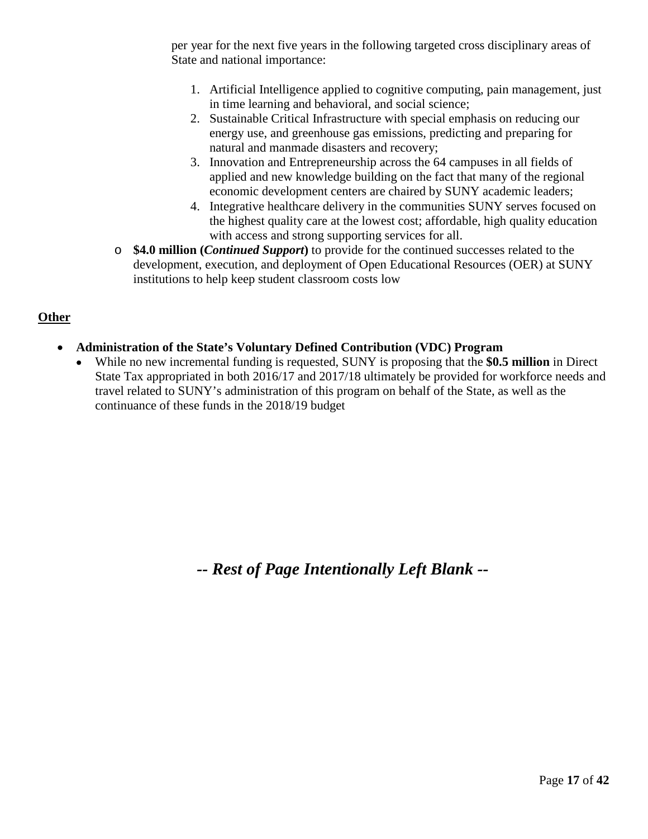per year for the next five years in the following targeted cross disciplinary areas of State and national importance:

- 1. Artificial Intelligence applied to cognitive computing, pain management, just in time learning and behavioral, and social science;
- 2. Sustainable Critical Infrastructure with special emphasis on reducing our energy use, and greenhouse gas emissions, predicting and preparing for natural and manmade disasters and recovery;
- 3. Innovation and Entrepreneurship across the 64 campuses in all fields of applied and new knowledge building on the fact that many of the regional economic development centers are chaired by SUNY academic leaders;
- 4. Integrative healthcare delivery in the communities SUNY serves focused on the highest quality care at the lowest cost; affordable, high quality education with access and strong supporting services for all.
- o **\$4.0 million (***Continued Support***)** to provide for the continued successes related to the development, execution, and deployment of Open Educational Resources (OER) at SUNY institutions to help keep student classroom costs low

#### **Other**

- **Administration of the State's Voluntary Defined Contribution (VDC) Program**
	- While no new incremental funding is requested, SUNY is proposing that the **\$0.5 million** in Direct State Tax appropriated in both 2016/17 and 2017/18 ultimately be provided for workforce needs and travel related to SUNY's administration of this program on behalf of the State, as well as the continuance of these funds in the 2018/19 budget

*-- Rest of Page Intentionally Left Blank --*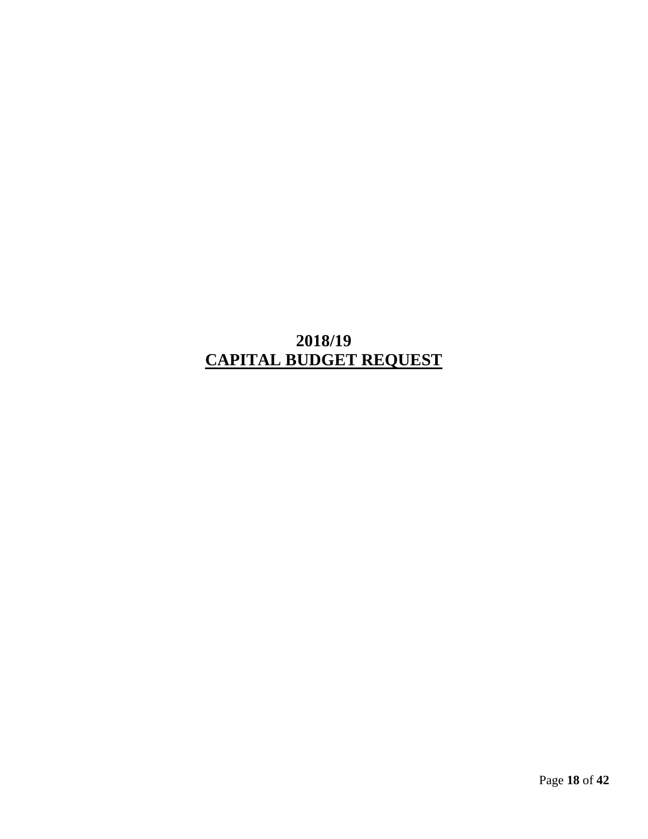## **2018/19 CAPITAL BUDGET REQUEST**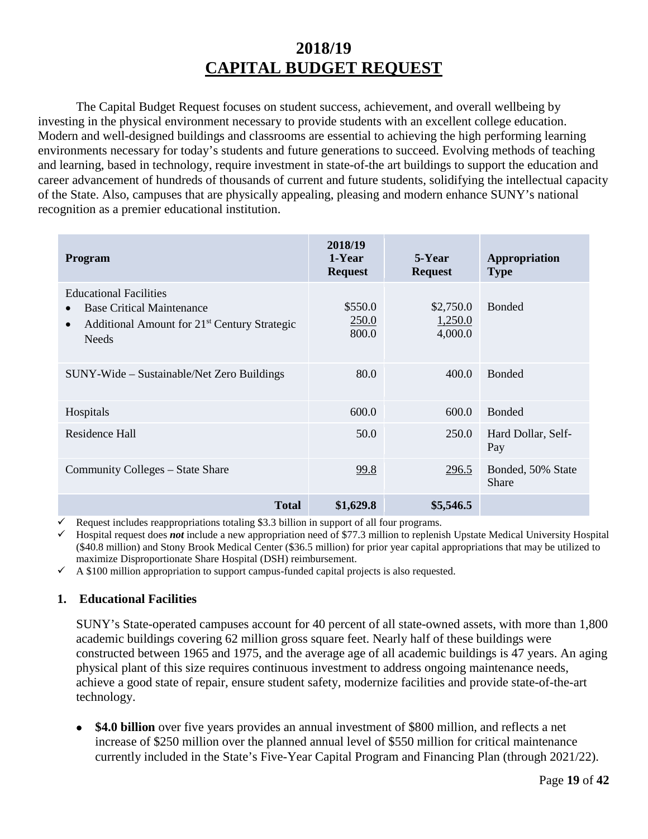## **2018/19 CAPITAL BUDGET REQUEST**

The Capital Budget Request focuses on student success, achievement, and overall wellbeing by investing in the physical environment necessary to provide students with an excellent college education. Modern and well-designed buildings and classrooms are essential to achieving the high performing learning environments necessary for today's students and future generations to succeed. Evolving methods of teaching and learning, based in technology, require investment in state-of-the art buildings to support the education and career advancement of hundreds of thousands of current and future students, solidifying the intellectual capacity of the State. Also, campuses that are physically appealing, pleasing and modern enhance SUNY's national recognition as a premier educational institution.

| <b>Program</b>                                                                                                                                             | 2018/19<br>1-Year<br><b>Request</b> | 5-Year<br><b>Request</b>        | Appropriation<br><b>Type</b>      |
|------------------------------------------------------------------------------------------------------------------------------------------------------------|-------------------------------------|---------------------------------|-----------------------------------|
| <b>Educational Facilities</b><br><b>Base Critical Maintenance</b><br>Additional Amount for 21 <sup>st</sup> Century Strategic<br>$\bullet$<br><b>Needs</b> | \$550.0<br>250.0<br>800.0           | \$2,750.0<br>1,250.0<br>4,000.0 | <b>Bonded</b>                     |
| SUNY-Wide – Sustainable/Net Zero Buildings                                                                                                                 | 80.0                                | 400.0                           | <b>Bonded</b>                     |
| Hospitals                                                                                                                                                  | 600.0                               | 600.0                           | <b>Bonded</b>                     |
| Residence Hall                                                                                                                                             | 50.0                                | 250.0                           | Hard Dollar, Self-<br>Pay         |
| Community Colleges – State Share                                                                                                                           | 99.8                                | 296.5                           | Bonded, 50% State<br><b>Share</b> |
| <b>Total</b>                                                                                                                                               | \$1,629.8                           | \$5,546.5                       |                                   |

Request includes reappropriations totaling \$3.3 billion in support of all four programs.

 Hospital request does *not* include a new appropriation need of \$77.3 million to replenish Upstate Medical University Hospital (\$40.8 million) and Stony Brook Medical Center (\$36.5 million) for prior year capital appropriations that may be utilized to maximize Disproportionate Share Hospital (DSH) reimbursement.

 $\checkmark$  A \$100 million appropriation to support campus-funded capital projects is also requested.

#### **1. Educational Facilities**

SUNY's State-operated campuses account for 40 percent of all state-owned assets, with more than 1,800 academic buildings covering 62 million gross square feet. Nearly half of these buildings were constructed between 1965 and 1975, and the average age of all academic buildings is 47 years. An aging physical plant of this size requires continuous investment to address ongoing maintenance needs, achieve a good state of repair, ensure student safety, modernize facilities and provide state-of-the-art technology.

• **\$4.0 billion** over five years provides an annual investment of \$800 million, and reflects a net increase of \$250 million over the planned annual level of \$550 million for critical maintenance currently included in the State's Five-Year Capital Program and Financing Plan (through 2021/22).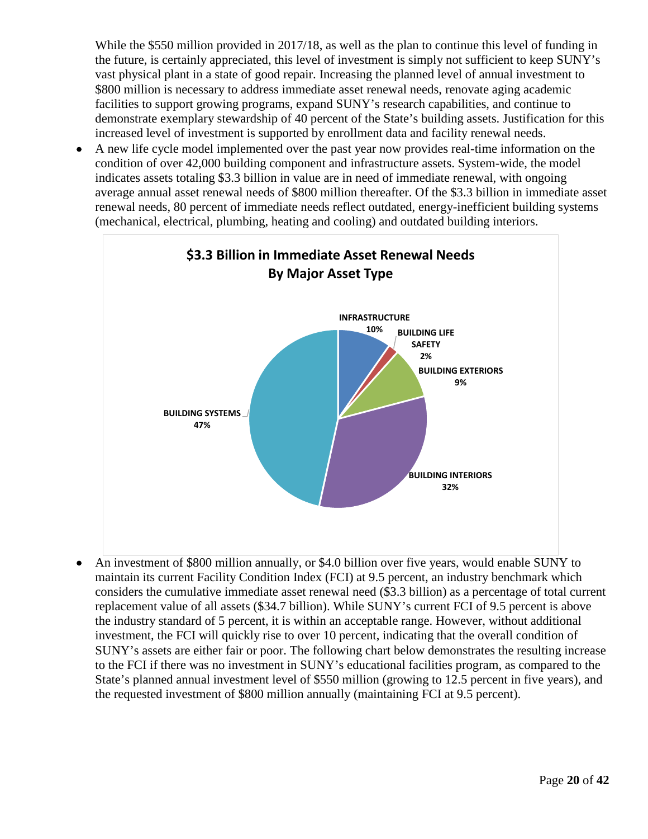While the \$550 million provided in 2017/18, as well as the plan to continue this level of funding in the future, is certainly appreciated, this level of investment is simply not sufficient to keep SUNY's vast physical plant in a state of good repair. Increasing the planned level of annual investment to \$800 million is necessary to address immediate asset renewal needs, renovate aging academic facilities to support growing programs, expand SUNY's research capabilities, and continue to demonstrate exemplary stewardship of 40 percent of the State's building assets. Justification for this increased level of investment is supported by enrollment data and facility renewal needs.

• A new life cycle model implemented over the past year now provides real-time information on the condition of over 42,000 building component and infrastructure assets. System-wide, the model indicates assets totaling \$3.3 billion in value are in need of immediate renewal, with ongoing average annual asset renewal needs of \$800 million thereafter. Of the \$3.3 billion in immediate asset renewal needs, 80 percent of immediate needs reflect outdated, energy-inefficient building systems (mechanical, electrical, plumbing, heating and cooling) and outdated building interiors.



• An investment of \$800 million annually, or \$4.0 billion over five years, would enable SUNY to maintain its current Facility Condition Index (FCI) at 9.5 percent, an industry benchmark which considers the cumulative immediate asset renewal need (\$3.3 billion) as a percentage of total current replacement value of all assets (\$34.7 billion). While SUNY's current FCI of 9.5 percent is above the industry standard of 5 percent, it is within an acceptable range. However, without additional investment, the FCI will quickly rise to over 10 percent, indicating that the overall condition of SUNY's assets are either fair or poor. The following chart below demonstrates the resulting increase to the FCI if there was no investment in SUNY's educational facilities program, as compared to the State's planned annual investment level of \$550 million (growing to 12.5 percent in five years), and the requested investment of \$800 million annually (maintaining FCI at 9.5 percent).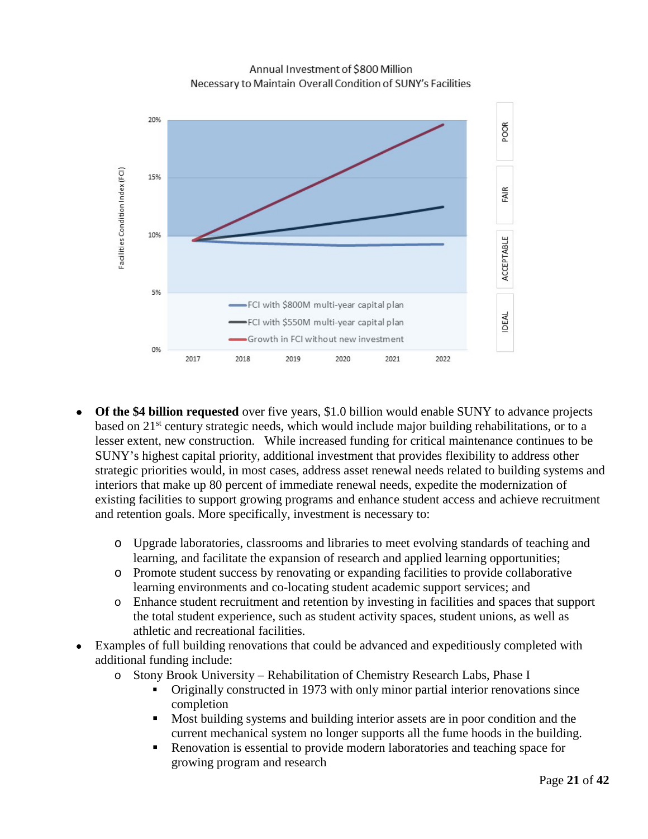Annual Investment of \$800 Million Necessary to Maintain Overall Condition of SUNY's Facilities



- **Of the \$4 billion requested** over five years, \$1.0 billion would enable SUNY to advance projects based on 21<sup>st</sup> century strategic needs, which would include major building rehabilitations, or to a lesser extent, new construction. While increased funding for critical maintenance continues to be SUNY's highest capital priority, additional investment that provides flexibility to address other strategic priorities would, in most cases, address asset renewal needs related to building systems and interiors that make up 80 percent of immediate renewal needs, expedite the modernization of existing facilities to support growing programs and enhance student access and achieve recruitment and retention goals. More specifically, investment is necessary to:
	- o Upgrade laboratories, classrooms and libraries to meet evolving standards of teaching and learning, and facilitate the expansion of research and applied learning opportunities;
	- o Promote student success by renovating or expanding facilities to provide collaborative learning environments and co-locating student academic support services; and
	- o Enhance student recruitment and retention by investing in facilities and spaces that support the total student experience, such as student activity spaces, student unions, as well as athletic and recreational facilities.
- Examples of full building renovations that could be advanced and expeditiously completed with additional funding include:
	- o Stony Brook University Rehabilitation of Chemistry Research Labs, Phase I
		- Originally constructed in 1973 with only minor partial interior renovations since completion
		- Most building systems and building interior assets are in poor condition and the current mechanical system no longer supports all the fume hoods in the building.
		- Renovation is essential to provide modern laboratories and teaching space for growing program and research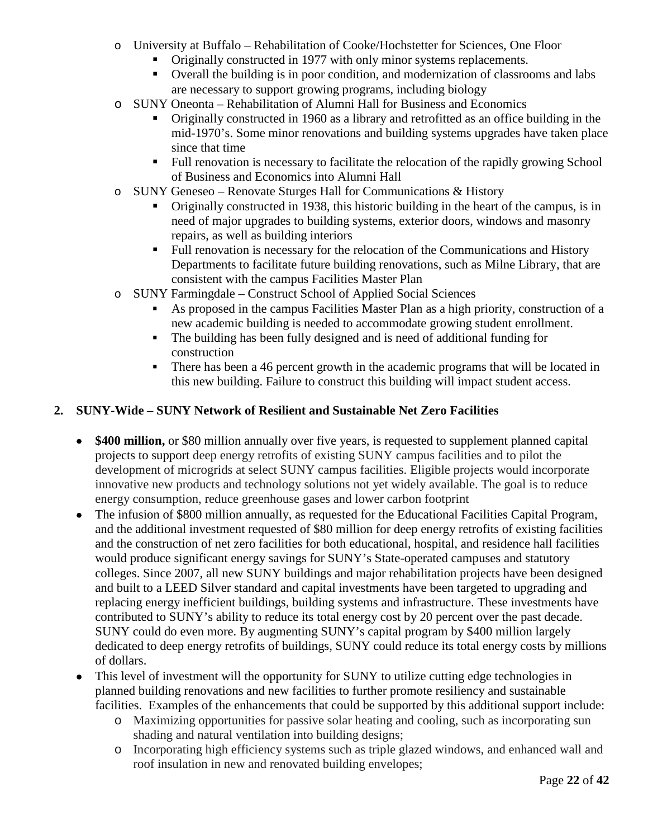- o University at Buffalo Rehabilitation of Cooke/Hochstetter for Sciences, One Floor
	- Originally constructed in 1977 with only minor systems replacements.
	- Overall the building is in poor condition, and modernization of classrooms and labs are necessary to support growing programs, including biology
- o SUNY Oneonta Rehabilitation of Alumni Hall for Business and Economics
	- Originally constructed in 1960 as a library and retrofitted as an office building in the mid-1970's. Some minor renovations and building systems upgrades have taken place since that time
	- Full renovation is necessary to facilitate the relocation of the rapidly growing School of Business and Economics into Alumni Hall
- o SUNY Geneseo Renovate Sturges Hall for Communications & History
	- Originally constructed in 1938, this historic building in the heart of the campus, is in need of major upgrades to building systems, exterior doors, windows and masonry repairs, as well as building interiors
	- Full renovation is necessary for the relocation of the Communications and History Departments to facilitate future building renovations, such as Milne Library, that are consistent with the campus Facilities Master Plan
- o SUNY Farmingdale Construct School of Applied Social Sciences
	- As proposed in the campus Facilities Master Plan as a high priority, construction of a new academic building is needed to accommodate growing student enrollment.
	- The building has been fully designed and is need of additional funding for construction
	- There has been a 46 percent growth in the academic programs that will be located in this new building. Failure to construct this building will impact student access.

#### **2. SUNY-Wide – SUNY Network of Resilient and Sustainable Net Zero Facilities**

- **\$400 million,** or \$80 million annually over five years, is requested to supplement planned capital projects to support deep energy retrofits of existing SUNY campus facilities and to pilot the development of microgrids at select SUNY campus facilities. Eligible projects would incorporate innovative new products and technology solutions not yet widely available. The goal is to reduce energy consumption, reduce greenhouse gases and lower carbon footprint
- The infusion of \$800 million annually, as requested for the Educational Facilities Capital Program, and the additional investment requested of \$80 million for deep energy retrofits of existing facilities and the construction of net zero facilities for both educational, hospital, and residence hall facilities would produce significant energy savings for SUNY's State-operated campuses and statutory colleges. Since 2007, all new SUNY buildings and major rehabilitation projects have been designed and built to a LEED Silver standard and capital investments have been targeted to upgrading and replacing energy inefficient buildings, building systems and infrastructure. These investments have contributed to SUNY's ability to reduce its total energy cost by 20 percent over the past decade. SUNY could do even more. By augmenting SUNY's capital program by \$400 million largely dedicated to deep energy retrofits of buildings, SUNY could reduce its total energy costs by millions of dollars.
- This level of investment will the opportunity for SUNY to utilize cutting edge technologies in planned building renovations and new facilities to further promote resiliency and sustainable facilities. Examples of the enhancements that could be supported by this additional support include:
	- o Maximizing opportunities for passive solar heating and cooling, such as incorporating sun shading and natural ventilation into building designs;
	- o Incorporating high efficiency systems such as triple glazed windows, and enhanced wall and roof insulation in new and renovated building envelopes;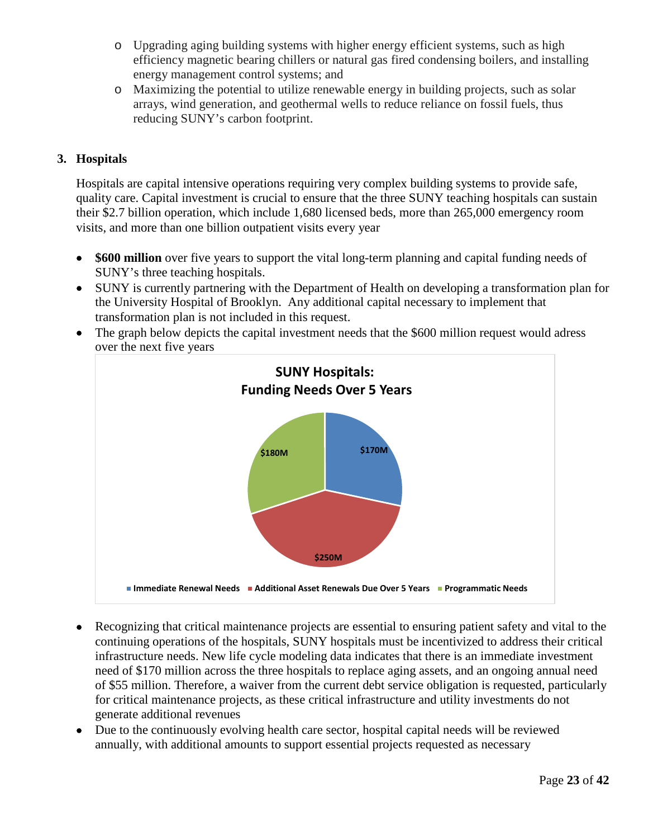- o Upgrading aging building systems with higher energy efficient systems, such as high efficiency magnetic bearing chillers or natural gas fired condensing boilers, and installing energy management control systems; and
- o Maximizing the potential to utilize renewable energy in building projects, such as solar arrays, wind generation, and geothermal wells to reduce reliance on fossil fuels, thus reducing SUNY's carbon footprint.

#### **3. Hospitals**

Hospitals are capital intensive operations requiring very complex building systems to provide safe, quality care. Capital investment is crucial to ensure that the three SUNY teaching hospitals can sustain their \$2.7 billion operation, which include 1,680 licensed beds, more than 265,000 emergency room visits, and more than one billion outpatient visits every year

- **\$600 million** over five years to support the vital long-term planning and capital funding needs of SUNY's three teaching hospitals.
- SUNY is currently partnering with the Department of Health on developing a transformation plan for the University Hospital of Brooklyn. Any additional capital necessary to implement that transformation plan is not included in this request.
- The graph below depicts the capital investment needs that the \$600 million request would adress over the next five years



- Recognizing that critical maintenance projects are essential to ensuring patient safety and vital to the continuing operations of the hospitals, SUNY hospitals must be incentivized to address their critical infrastructure needs. New life cycle modeling data indicates that there is an immediate investment need of \$170 million across the three hospitals to replace aging assets, and an ongoing annual need of \$55 million. Therefore, a waiver from the current debt service obligation is requested, particularly for critical maintenance projects, as these critical infrastructure and utility investments do not generate additional revenues
- Due to the continuously evolving health care sector, hospital capital needs will be reviewed annually, with additional amounts to support essential projects requested as necessary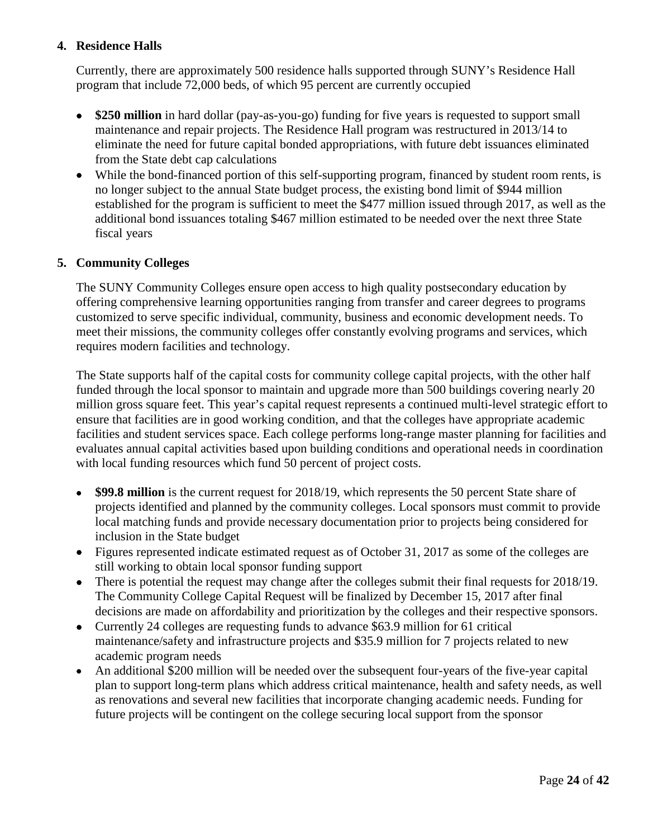#### **4. Residence Halls**

Currently, there are approximately 500 residence halls supported through SUNY's Residence Hall program that include 72,000 beds, of which 95 percent are currently occupied

- **\$250 million** in hard dollar (pay-as-you-go) funding for five years is requested to support small maintenance and repair projects. The Residence Hall program was restructured in 2013/14 to eliminate the need for future capital bonded appropriations, with future debt issuances eliminated from the State debt cap calculations
- While the bond-financed portion of this self-supporting program, financed by student room rents, is no longer subject to the annual State budget process, the existing bond limit of \$944 million established for the program is sufficient to meet the \$477 million issued through 2017, as well as the additional bond issuances totaling \$467 million estimated to be needed over the next three State fiscal years

#### **5. Community Colleges**

The SUNY Community Colleges ensure open access to high quality postsecondary education by offering comprehensive learning opportunities ranging from transfer and career degrees to programs customized to serve specific individual, community, business and economic development needs. To meet their missions, the community colleges offer constantly evolving programs and services, which requires modern facilities and technology.

The State supports half of the capital costs for community college capital projects, with the other half funded through the local sponsor to maintain and upgrade more than 500 buildings covering nearly 20 million gross square feet. This year's capital request represents a continued multi-level strategic effort to ensure that facilities are in good working condition, and that the colleges have appropriate academic facilities and student services space. Each college performs long-range master planning for facilities and evaluates annual capital activities based upon building conditions and operational needs in coordination with local funding resources which fund 50 percent of project costs.

- **\$99.8 million** is the current request for 2018/19, which represents the 50 percent State share of projects identified and planned by the community colleges. Local sponsors must commit to provide local matching funds and provide necessary documentation prior to projects being considered for inclusion in the State budget
- Figures represented indicate estimated request as of October 31, 2017 as some of the colleges are still working to obtain local sponsor funding support
- There is potential the request may change after the colleges submit their final requests for 2018/19. The Community College Capital Request will be finalized by December 15, 2017 after final decisions are made on affordability and prioritization by the colleges and their respective sponsors.
- Currently 24 colleges are requesting funds to advance \$63.9 million for 61 critical maintenance/safety and infrastructure projects and \$35.9 million for 7 projects related to new academic program needs
- An additional \$200 million will be needed over the subsequent four-years of the five-year capital plan to support long-term plans which address critical maintenance, health and safety needs, as well as renovations and several new facilities that incorporate changing academic needs. Funding for future projects will be contingent on the college securing local support from the sponsor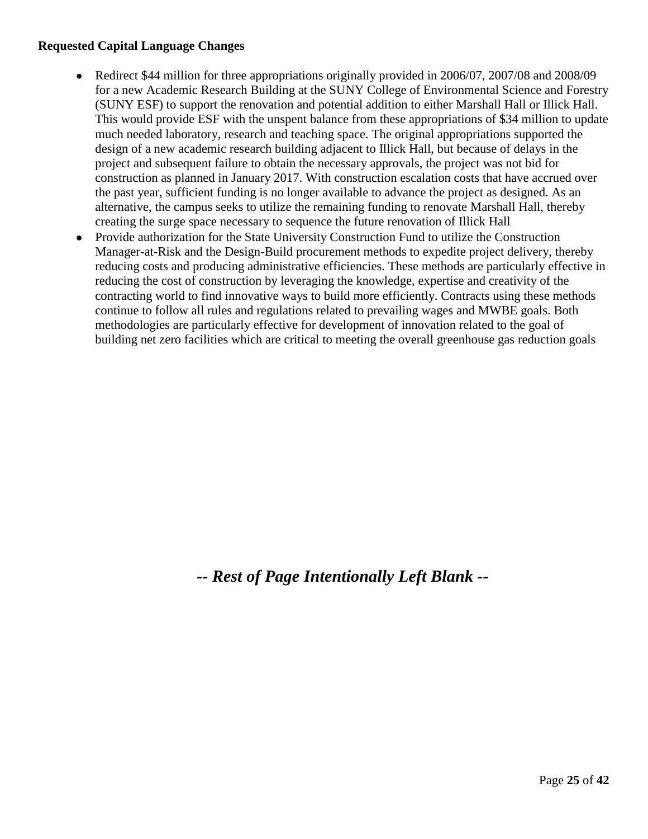#### **Requested Capital Language Changes**

- Redirect \$44 million for three appropriations originally provided in 2006/07, 2007/08 and 2008/09 for a new Academic Research Building at the SUNY College of Environmental Science and Forestry (SUNY ESF) to support the renovation and potential addition to either Marshall Hall or Illick Hall. This would provide ESF with the unspent balance from these appropriations of \$34 million to update much needed laboratory, research and teaching space. The original appropriations supported the design of a new academic research building adjacent to Illick Hall, but because of delays in the project and subsequent failure to obtain the necessary approvals, the project was not bid for construction as planned in January 2017. With construction escalation costs that have accrued over the past year, sufficient funding is no longer available to advance the project as designed. As an alternative, the campus seeks to utilize the remaining funding to renovate Marshall Hall, thereby creating the surge space necessary to sequence the future renovation of Illick Hall
- Provide authorization for the State University Construction Fund to utilize the Construction Manager-at-Risk and the Design-Build procurement methods to expedite project delivery, thereby reducing costs and producing administrative efficiencies. These methods are particularly effective in reducing the cost of construction by leveraging the knowledge, expertise and creativity of the contracting world to find innovative ways to build more efficiently. Contracts using these methods continue to follow all rules and regulations related to prevailing wages and MWBE goals. Both methodologies are particularly effective for development of innovation related to the goal of building net zero facilities which are critical to meeting the overall greenhouse gas reduction goals

*-- Rest of Page Intentionally Left Blank --*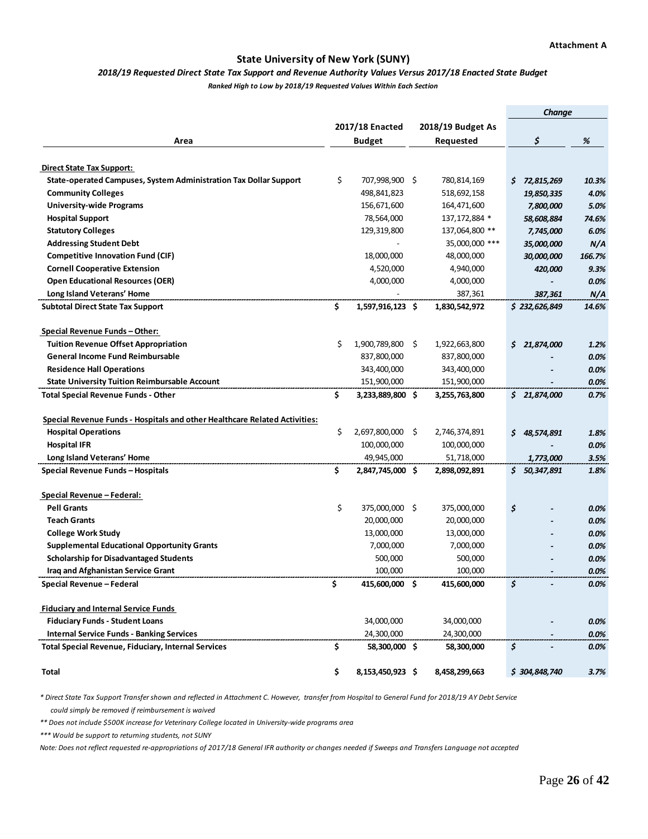#### **State University of New York (SUNY)**

#### *2018/19 Requested Direct State Tax Support and Revenue Authority Values Versus 2017/18 Enacted State Budget*

*Ranked High to Low by 2018/19 Requested Values Within Each Section*

|                                                                                                |     |                  |     |                   | Change |                         |        |
|------------------------------------------------------------------------------------------------|-----|------------------|-----|-------------------|--------|-------------------------|--------|
|                                                                                                |     | 2017/18 Enacted  |     | 2018/19 Budget As |        |                         |        |
| Area                                                                                           |     | <b>Budget</b>    |     | Requested         |        | \$                      | %      |
|                                                                                                |     |                  |     |                   |        |                         |        |
| Direct State Tax Support:<br>State-operated Campuses, System Administration Tax Dollar Support | \$  | 707,998,900 \$   |     | 780,814,169       |        | \$72,815,269            | 10.3%  |
| <b>Community Colleges</b>                                                                      |     | 498,841,823      |     | 518,692,158       |        |                         | 4.0%   |
| <b>University-wide Programs</b>                                                                |     | 156,671,600      |     | 164,471,600       |        | 19,850,335<br>7,800,000 | 5.0%   |
| <b>Hospital Support</b>                                                                        |     | 78,564,000       |     | 137, 172, 884 *   |        |                         | 74.6%  |
| <b>Statutory Colleges</b>                                                                      |     | 129,319,800      |     | 137,064,800 **    |        | 58,608,884<br>7,745,000 | 6.0%   |
| <b>Addressing Student Debt</b>                                                                 |     |                  |     | 35,000,000 ***    |        | 35,000,000              | N/A    |
| <b>Competitive Innovation Fund (CIF)</b>                                                       |     | 18,000,000       |     | 48,000,000        |        | 30,000,000              | 166.7% |
| <b>Cornell Cooperative Extension</b>                                                           |     | 4,520,000        |     | 4,940,000         |        | 420,000                 | 9.3%   |
| <b>Open Educational Resources (OER)</b>                                                        |     | 4,000,000        |     | 4,000,000         |        |                         | 0.0%   |
| Long Island Veterans' Home                                                                     |     |                  |     | 387,361           |        | 387,361                 | N/A    |
| <b>Subtotal Direct State Tax Support</b>                                                       | \$  | 1,597,916,123 \$ |     | 1,830,542,972     |        | \$232,626,849           | 14.6%  |
|                                                                                                |     |                  |     |                   |        |                         |        |
| Special Revenue Funds - Other:                                                                 |     |                  |     |                   |        |                         |        |
| <b>Tuition Revenue Offset Appropriation</b>                                                    | \$  | 1,900,789,800    | \$. | 1,922,663,800     |        | \$21,874,000            | 1.2%   |
| <b>General Income Fund Reimbursable</b>                                                        |     | 837,800,000      |     | 837,800,000       |        |                         | 0.0%   |
| <b>Residence Hall Operations</b>                                                               |     | 343,400,000      |     | 343,400,000       |        |                         | 0.0%   |
| <b>State University Tuition Reimbursable Account</b>                                           |     | 151,900,000      |     | 151,900,000       |        |                         | 0.0%   |
| <b>Total Special Revenue Funds - Other</b>                                                     | \$  | 3,233,889,800 \$ |     | 3,255,763,800     |        | \$21,874,000            | 0.7%   |
|                                                                                                |     |                  |     |                   |        |                         |        |
| Special Revenue Funds - Hospitals and other Healthcare Related Activities:                     |     |                  |     |                   |        |                         |        |
| <b>Hospital Operations</b>                                                                     | \$  | 2,697,800,000    | \$. | 2,746,374,891     | \$.    | 48,574,891              | 1.8%   |
| <b>Hospital IFR</b>                                                                            |     | 100,000,000      |     | 100,000,000       |        |                         | 0.0%   |
| Long Island Veterans' Home                                                                     |     | 49,945,000       |     | 51,718,000        |        | 1,773,000               | 3.5%   |
| Special Revenue Funds - Hospitals                                                              | \$. | 2,847,745,000 \$ |     | 2,898,092,891     |        | \$50,347,891            | 1.8%   |
|                                                                                                |     |                  |     |                   |        |                         |        |
| Special Revenue - Federal:                                                                     |     |                  |     |                   |        |                         |        |
| <b>Pell Grants</b>                                                                             | \$  | 375,000,000 \$   |     | 375,000,000       | \$     |                         | 0.0%   |
| <b>Teach Grants</b>                                                                            |     | 20,000,000       |     | 20,000,000        |        |                         | 0.0%   |
| <b>College Work Study</b>                                                                      |     | 13,000,000       |     | 13,000,000        |        |                         | 0.0%   |
| <b>Supplemental Educational Opportunity Grants</b>                                             |     | 7,000,000        |     | 7,000,000         |        |                         | 0.0%   |
| <b>Scholarship for Disadvantaged Students</b>                                                  |     | 500,000          |     | 500,000           |        |                         | 0.0%   |
| Iraq and Afghanistan Service Grant                                                             |     | 100,000          |     | 100,000           |        |                         | 0.0%   |
| Special Revenue - Federal                                                                      | \$  | 415,600,000 \$   |     | 415,600,000       | \$     |                         | 0.0%   |
|                                                                                                |     |                  |     |                   |        |                         |        |
| <b>Fiduciary and Internal Service Funds</b>                                                    |     |                  |     |                   |        |                         |        |
| <b>Fiduciary Funds - Student Loans</b>                                                         |     | 34,000,000       |     | 34,000,000        |        |                         | 0.0%   |
| <b>Internal Service Funds - Banking Services</b>                                               |     | 24,300,000       |     | 24,300,000        |        |                         | 0.0%   |
| <b>Total Special Revenue, Fiduciary, Internal Services</b>                                     | \$  | 58,300,000 \$    |     | 58,300,000        | \$     |                         | 0.0%   |
| Total                                                                                          | \$  | 8,153,450,923 \$ |     | 8,458,299,663     |        | \$304,848,740           | 3.7%   |

*\* Direct State Tax Support Transfer shown and reflected in Attachment C. However, transfer from Hospital to General Fund for 2018/19 AY Debt Service could simply be removed if reimbursement is waived*

*\*\* Does not include \$500K increase for Veterinary College located in University-wide programs area*

*\*\*\* Would be support to returning students, not SUNY*

*Note: Does not reflect requested re-appropriations of 2017/18 General IFR authority or changes needed if Sweeps and Transfers Language not accepted*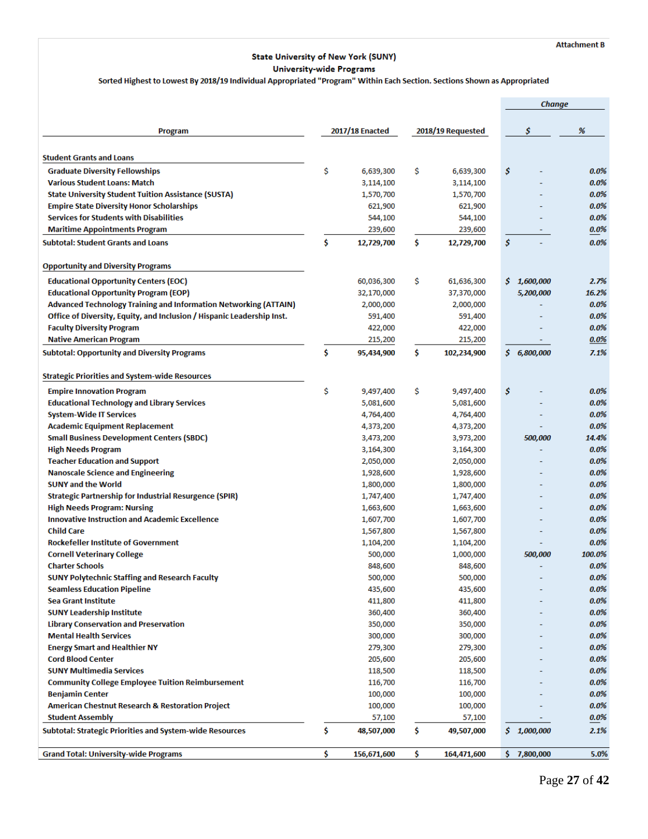#### **State University of New York (SUNY) University-wide Programs**

#### Sorted Highest to Lowest By 2018/19 Individual Appropriated "Program" Within Each Section. Sections Shown as Appropriated

|                                                                                                    |    |                      |     |                      |    | Change      |                    |
|----------------------------------------------------------------------------------------------------|----|----------------------|-----|----------------------|----|-------------|--------------------|
|                                                                                                    |    |                      |     |                      |    |             |                    |
| Program                                                                                            |    | 2017/18 Enacted      |     | 2018/19 Requested    |    | \$          | %                  |
| <b>Student Grants and Loans</b>                                                                    |    |                      |     |                      |    |             |                    |
|                                                                                                    | \$ |                      |     |                      | \$ |             |                    |
| <b>Graduate Diversity Fellowships</b>                                                              |    | 6,639,300            | \$  | 6,639,300            |    |             | $0.0\%$            |
| <b>Various Student Loans: Match</b>                                                                |    | 3,114,100            |     | 3,114,100            |    |             | $0.0\%$<br>$0.0\%$ |
| <b>State University Student Tuition Assistance (SUSTA)</b>                                         |    | 1,570,700            |     | 1,570,700            |    |             | $0.0\%$            |
| <b>Empire State Diversity Honor Scholarships</b><br><b>Services for Students with Disabilities</b> |    | 621,900              |     | 621,900              |    |             | $0.0\%$            |
|                                                                                                    |    | 544,100              |     | 544,100              |    |             | $0.0\%$            |
| <b>Maritime Appointments Program</b><br><b>Subtotal: Student Grants and Loans</b>                  | Ś  | 239,600              | \$  | 239,600              | \$ |             | $0.0\%$            |
|                                                                                                    |    | 12,729,700           |     | 12,729,700           |    |             |                    |
| <b>Opportunity and Diversity Programs</b>                                                          |    |                      |     |                      |    |             |                    |
| <b>Educational Opportunity Centers (EOC)</b>                                                       |    | 60,036,300           | \$  | 61,636,300           |    | \$1,600,000 | 2.7%               |
| <b>Educational Opportunity Program (EOP)</b>                                                       |    | 32,170,000           |     | 37,370,000           |    | 5,200,000   | 16.2%              |
| <b>Advanced Technology Training and Information Networking (ATTAIN)</b>                            |    | 2,000,000            |     | 2,000,000            |    |             | $0.0\%$            |
| Office of Diversity, Equity, and Inclusion / Hispanic Leadership Inst.                             |    | 591,400              |     | 591,400              |    |             | 0.0%               |
| <b>Faculty Diversity Program</b>                                                                   |    | 422,000              |     | 422,000              |    |             | 0.0%               |
| <b>Native American Program</b>                                                                     |    | 215,200              |     | 215,200              |    |             | $0.0\%$            |
| <b>Subtotal: Opportunity and Diversity Programs</b>                                                | Ś  | 95,434,900           | \$  | 102,234,900          |    | \$6,800,000 | 7.1%               |
| <b>Strategic Priorities and System-wide Resources</b>                                              |    |                      |     |                      |    |             |                    |
|                                                                                                    |    |                      |     |                      |    |             |                    |
| <b>Empire Innovation Program</b>                                                                   | \$ | 9,497,400            | \$  | 9,497,400            | \$ |             | 0.0%               |
| <b>Educational Technology and Library Services</b>                                                 |    | 5,081,600            |     | 5,081,600            |    |             | 0.0%               |
| <b>System-Wide IT Services</b>                                                                     |    | 4,764,400            |     | 4,764,400            |    |             | $0.0\%$            |
| <b>Academic Equipment Replacement</b>                                                              |    | 4,373,200            |     | 4,373,200            |    |             | $0.0\%$            |
| <b>Small Business Development Centers (SBDC)</b>                                                   |    | 3,473,200            |     | 3,973,200            |    | 500,000     | 14.4%              |
| <b>High Needs Program</b>                                                                          |    | 3,164,300            |     | 3,164,300            |    |             | $0.0\%$            |
| <b>Teacher Education and Support</b>                                                               |    | 2,050,000            |     | 2,050,000            |    |             | $0.0\%$            |
| <b>Nanoscale Science and Engineering</b>                                                           |    | 1,928,600            |     | 1,928,600            |    |             | 0.0%               |
| <b>SUNY and the World</b>                                                                          |    | 1,800,000            |     | 1,800,000            |    |             | $0.0\%$            |
| <b>Strategic Partnership for Industrial Resurgence (SPIR)</b>                                      |    | 1,747,400            |     | 1,747,400            |    |             | $0.0\%$            |
| <b>High Needs Program: Nursing</b>                                                                 |    | 1,663,600            |     | 1,663,600            |    |             | 0.0%               |
| <b>Innovative Instruction and Academic Excellence</b>                                              |    | 1,607,700            |     | 1,607,700            |    |             | $0.0\%$            |
| <b>Child Care</b>                                                                                  |    | 1,567,800            |     | 1,567,800            |    |             | $0.0\%$            |
| <b>Rockefeller Institute of Government</b>                                                         |    | 1,104,200            |     | 1,104,200            |    |             | 0.0%               |
| <b>Cornell Veterinary College</b>                                                                  |    | 500,000              |     | 1,000,000            |    | 500,000     | 100.0%             |
| <b>Charter Schools</b>                                                                             |    | 848,600              |     | 848,600              |    |             | $0.0\%$            |
| <b>SUNY Polytechnic Staffing and Research Faculty</b>                                              |    | 500,000              |     | 500,000              |    |             | $0.0\%$            |
| <b>Seamless Education Pipeline</b>                                                                 |    | 435,600              |     | 435,600              |    |             | $0.0\%$            |
| <b>Sea Grant Institute</b>                                                                         |    | 411,800              |     | 411,800              |    |             | $0.0\%$            |
| <b>SUNY Leadership Institute</b>                                                                   |    | 360,400              |     | 360,400              |    |             | $0.0\%$            |
| <b>Library Conservation and Preservation</b><br><b>Mental Health Services</b>                      |    | 350,000              |     | 350,000              |    |             | 0.0%               |
|                                                                                                    |    | 300,000              |     | 300,000              |    |             | 0.0%               |
| <b>Energy Smart and Healthier NY</b>                                                               |    | 279,300              |     | 279,300              |    |             | $0.0\%$            |
| <b>Cord Blood Center</b>                                                                           |    | 205,600              |     | 205,600              |    |             | $0.0\%$            |
| <b>SUNY Multimedia Services</b>                                                                    |    | 118,500              |     | 118,500              |    |             | 0.0%               |
| <b>Community College Employee Tuition Reimbursement</b>                                            |    | 116,700              |     | 116,700              |    |             | $0.0\%$            |
| <b>Benjamin Center</b>                                                                             |    | 100,000              |     | 100,000              |    |             | $0.0\%$            |
| <b>American Chestnut Research &amp; Restoration Project</b><br><b>Student Assembly</b>             |    | 100,000              |     | 100,000              |    |             | 0.0%<br>$0.0\%$    |
| <b>Subtotal: Strategic Priorities and System-wide Resources</b>                                    | \$ | 57,100<br>48,507,000 | \$  | 57,100<br>49,507,000 |    | \$1,000,000 | 2.1%               |
|                                                                                                    |    |                      |     |                      |    |             |                    |
| <b>Grand Total: University-wide Programs</b>                                                       | \$ | 156,671,600          | \$. | 164,471,600          | s  | 7,800,000   | 5.0%               |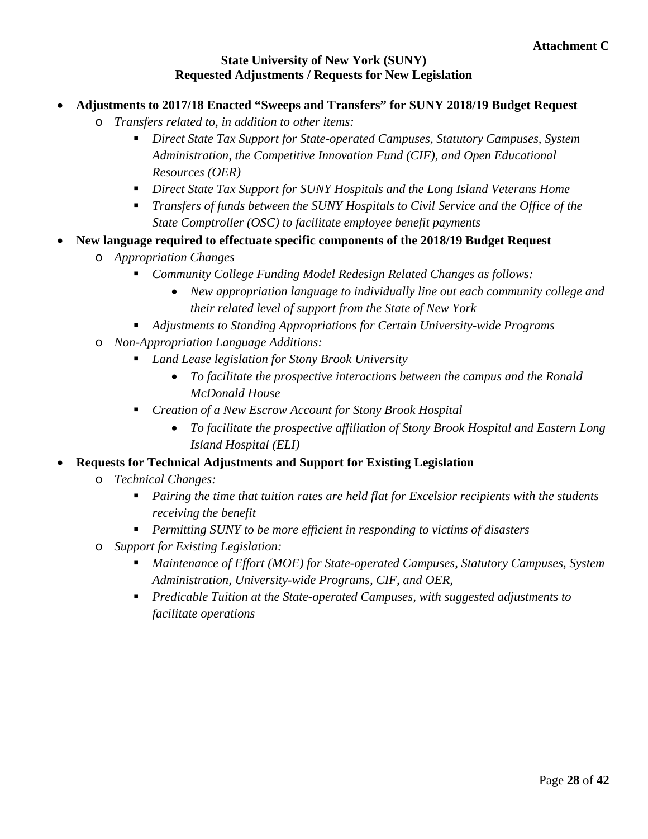#### **State University of New York (SUNY) Requested Adjustments / Requests for New Legislation**

- **Adjustments to 2017/18 Enacted "Sweeps and Transfers" for SUNY 2018/19 Budget Request**
	- o *Transfers related to, in addition to other items:*
		- *Direct State Tax Support for State-operated Campuses, Statutory Campuses, System Administration, the Competitive Innovation Fund (CIF), and Open Educational Resources (OER)*
		- *Direct State Tax Support for SUNY Hospitals and the Long Island Veterans Home*
		- *Transfers of funds between the SUNY Hospitals to Civil Service and the Office of the State Comptroller (OSC) to facilitate employee benefit payments*
- **New language required to effectuate specific components of the 2018/19 Budget Request**
	- o *Appropriation Changes*
		- *Community College Funding Model Redesign Related Changes as follows:*
			- *New appropriation language to individually line out each community college and their related level of support from the State of New York*
		- *Adjustments to Standing Appropriations for Certain University-wide Programs*
	- o *Non-Appropriation Language Additions:*
		- *Land Lease legislation for Stony Brook University*
			- *To facilitate the prospective interactions between the campus and the Ronald McDonald House*
		- *Creation of a New Escrow Account for Stony Brook Hospital*
			- *To facilitate the prospective affiliation of Stony Brook Hospital and Eastern Long Island Hospital (ELI)*
- **Requests for Technical Adjustments and Support for Existing Legislation**
	- o *Technical Changes:*
		- *Pairing the time that tuition rates are held flat for Excelsior recipients with the students receiving the benefit*
		- *Permitting SUNY to be more efficient in responding to victims of disasters*
	- o *Support for Existing Legislation:*
		- *Maintenance of Effort (MOE) for State-operated Campuses, Statutory Campuses, System Administration, University-wide Programs, CIF, and OER,*
		- *Predicable Tuition at the State-operated Campuses, with suggested adjustments to facilitate operations*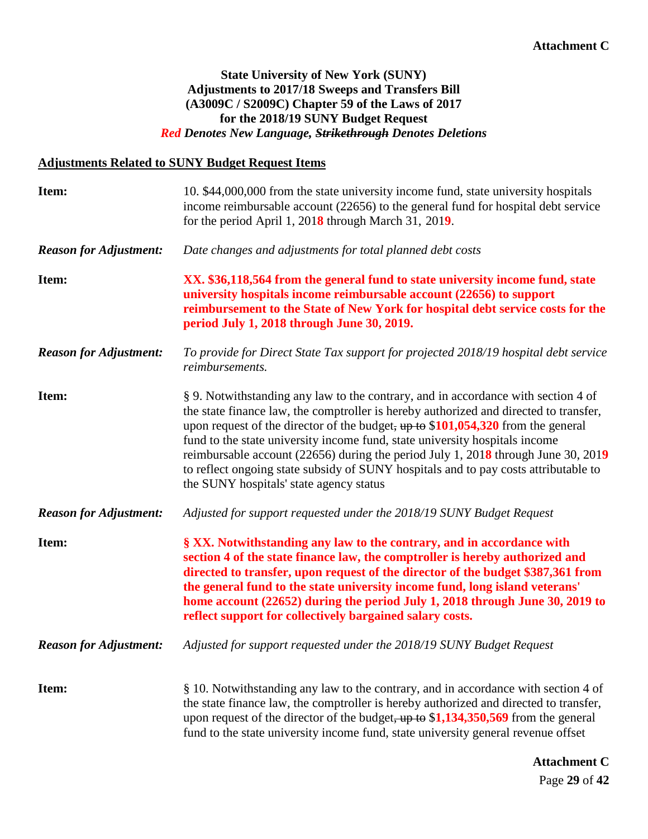#### **State University of New York (SUNY) Adjustments to 2017/18 Sweeps and Transfers Bill (A3009C / S2009C) Chapter 59 of the Laws of 2017 for the 2018/19 SUNY Budget Request** *Red Denotes New Language, Strikethrough Denotes Deletions*

#### **Adjustments Related to SUNY Budget Request Items**

| Item:                         | 10. \$44,000,000 from the state university income fund, state university hospitals<br>income reimbursable account (22656) to the general fund for hospital debt service<br>for the period April 1, $2018$ through March 31, $2019$ .                                                                                                                                                                                                                                                                                                                                  |
|-------------------------------|-----------------------------------------------------------------------------------------------------------------------------------------------------------------------------------------------------------------------------------------------------------------------------------------------------------------------------------------------------------------------------------------------------------------------------------------------------------------------------------------------------------------------------------------------------------------------|
| <b>Reason for Adjustment:</b> | Date changes and adjustments for total planned debt costs                                                                                                                                                                                                                                                                                                                                                                                                                                                                                                             |
| Item:                         | XX. \$36,118,564 from the general fund to state university income fund, state<br>university hospitals income reimbursable account (22656) to support<br>reimbursement to the State of New York for hospital debt service costs for the<br>period July 1, 2018 through June 30, 2019.                                                                                                                                                                                                                                                                                  |
| <b>Reason for Adjustment:</b> | To provide for Direct State Tax support for projected 2018/19 hospital debt service<br>reimbursements.                                                                                                                                                                                                                                                                                                                                                                                                                                                                |
| Item:                         | § 9. Notwithstanding any law to the contrary, and in accordance with section 4 of<br>the state finance law, the comptroller is hereby authorized and directed to transfer,<br>upon request of the director of the budget, $up to $101,054,320$ from the general<br>fund to the state university income fund, state university hospitals income<br>reimbursable account (22656) during the period July 1, 2018 through June 30, 2019<br>to reflect ongoing state subsidy of SUNY hospitals and to pay costs attributable to<br>the SUNY hospitals' state agency status |
| <b>Reason for Adjustment:</b> | Adjusted for support requested under the 2018/19 SUNY Budget Request                                                                                                                                                                                                                                                                                                                                                                                                                                                                                                  |
| Item:                         | § XX. Notwithstanding any law to the contrary, and in accordance with<br>section 4 of the state finance law, the comptroller is hereby authorized and<br>directed to transfer, upon request of the director of the budget \$387,361 from<br>the general fund to the state university income fund, long island veterans'<br>home account (22652) during the period July 1, 2018 through June 30, 2019 to<br>reflect support for collectively bargained salary costs.                                                                                                   |
| <b>Reason for Adjustment:</b> | Adjusted for support requested under the 2018/19 SUNY Budget Request                                                                                                                                                                                                                                                                                                                                                                                                                                                                                                  |
| Item:                         | § 10. Notwithstanding any law to the contrary, and in accordance with section 4 of<br>the state finance law, the comptroller is hereby authorized and directed to transfer,<br>upon request of the director of the budget, $up to$ \$1,134,350,569 from the general<br>fund to the state university income fund, state university general revenue offset                                                                                                                                                                                                              |

Page **29** of **42 Attachment C**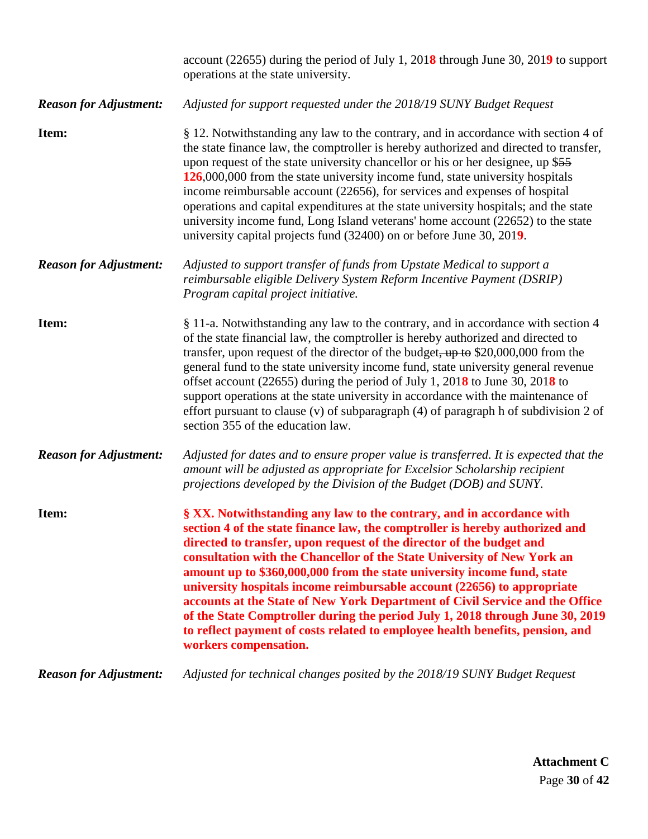|                               | account (22655) during the period of July 1, 2018 through June 30, 2019 to support<br>operations at the state university.                                                                                                                                                                                                                                                                                                                                                                                                                                                                                                                                                                                                                 |
|-------------------------------|-------------------------------------------------------------------------------------------------------------------------------------------------------------------------------------------------------------------------------------------------------------------------------------------------------------------------------------------------------------------------------------------------------------------------------------------------------------------------------------------------------------------------------------------------------------------------------------------------------------------------------------------------------------------------------------------------------------------------------------------|
| <b>Reason for Adjustment:</b> | Adjusted for support requested under the 2018/19 SUNY Budget Request                                                                                                                                                                                                                                                                                                                                                                                                                                                                                                                                                                                                                                                                      |
| Item:                         | § 12. Notwithstanding any law to the contrary, and in accordance with section 4 of<br>the state finance law, the comptroller is hereby authorized and directed to transfer,<br>upon request of the state university chancellor or his or her designee, up \$55<br>126,000,000 from the state university income fund, state university hospitals<br>income reimbursable account (22656), for services and expenses of hospital<br>operations and capital expenditures at the state university hospitals; and the state<br>university income fund, Long Island veterans' home account (22652) to the state<br>university capital projects fund (32400) on or before June 30, 2019.                                                          |
| <b>Reason for Adjustment:</b> | Adjusted to support transfer of funds from Upstate Medical to support a<br>reimbursable eligible Delivery System Reform Incentive Payment (DSRIP)<br>Program capital project initiative.                                                                                                                                                                                                                                                                                                                                                                                                                                                                                                                                                  |
| Item:                         | § 11-a. Notwithstanding any law to the contrary, and in accordance with section 4<br>of the state financial law, the comptroller is hereby authorized and directed to<br>transfer, upon request of the director of the budget, $up to$ \$20,000,000 from the<br>general fund to the state university income fund, state university general revenue<br>offset account (22655) during the period of July 1, 2018 to June 30, 2018 to<br>support operations at the state university in accordance with the maintenance of<br>effort pursuant to clause (v) of subparagraph $(4)$ of paragraph h of subdivision 2 of<br>section 355 of the education law.                                                                                     |
| <b>Reason for Adjustment:</b> | Adjusted for dates and to ensure proper value is transferred. It is expected that the<br>amount will be adjusted as appropriate for Excelsior Scholarship recipient<br>projections developed by the Division of the Budget (DOB) and SUNY.                                                                                                                                                                                                                                                                                                                                                                                                                                                                                                |
| Item:                         | § XX. Notwithstanding any law to the contrary, and in accordance with<br>section 4 of the state finance law, the comptroller is hereby authorized and<br>directed to transfer, upon request of the director of the budget and<br>consultation with the Chancellor of the State University of New York an<br>amount up to \$360,000,000 from the state university income fund, state<br>university hospitals income reimbursable account (22656) to appropriate<br>accounts at the State of New York Department of Civil Service and the Office<br>of the State Comptroller during the period July 1, 2018 through June 30, 2019<br>to reflect payment of costs related to employee health benefits, pension, and<br>workers compensation. |
| <b>Reason for Adjustment:</b> | Adjusted for technical changes posited by the 2018/19 SUNY Budget Request                                                                                                                                                                                                                                                                                                                                                                                                                                                                                                                                                                                                                                                                 |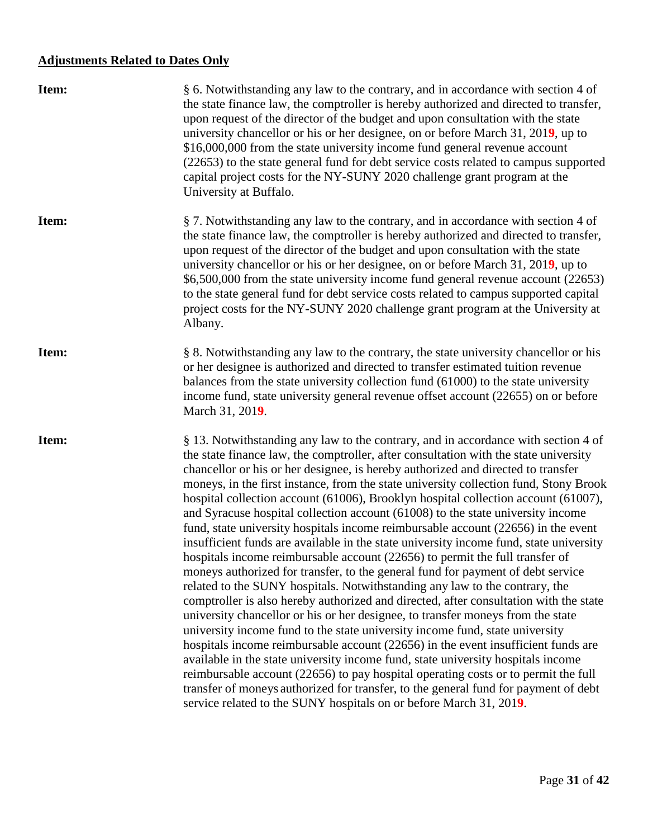## **Adjustments Related to Dates Only**

| Item: | § 6. Notwithstanding any law to the contrary, and in accordance with section 4 of<br>the state finance law, the comptroller is hereby authorized and directed to transfer,<br>upon request of the director of the budget and upon consultation with the state<br>university chancellor or his or her designee, on or before March 31, 2019, up to<br>\$16,000,000 from the state university income fund general revenue account<br>(22653) to the state general fund for debt service costs related to campus supported<br>capital project costs for the NY-SUNY 2020 challenge grant program at the<br>University at Buffalo.                                                                                                                                                                                                                                                                                                                                                                                                                                                                                                                                                                                                                                                                                                                                                                                                                                                                                                                                                                                                                            |
|-------|-----------------------------------------------------------------------------------------------------------------------------------------------------------------------------------------------------------------------------------------------------------------------------------------------------------------------------------------------------------------------------------------------------------------------------------------------------------------------------------------------------------------------------------------------------------------------------------------------------------------------------------------------------------------------------------------------------------------------------------------------------------------------------------------------------------------------------------------------------------------------------------------------------------------------------------------------------------------------------------------------------------------------------------------------------------------------------------------------------------------------------------------------------------------------------------------------------------------------------------------------------------------------------------------------------------------------------------------------------------------------------------------------------------------------------------------------------------------------------------------------------------------------------------------------------------------------------------------------------------------------------------------------------------|
| Item: | § 7. Notwithstanding any law to the contrary, and in accordance with section 4 of<br>the state finance law, the comptroller is hereby authorized and directed to transfer,<br>upon request of the director of the budget and upon consultation with the state<br>university chancellor or his or her designee, on or before March 31, 2019, up to<br>\$6,500,000 from the state university income fund general revenue account (22653)<br>to the state general fund for debt service costs related to campus supported capital<br>project costs for the NY-SUNY 2020 challenge grant program at the University at<br>Albany.                                                                                                                                                                                                                                                                                                                                                                                                                                                                                                                                                                                                                                                                                                                                                                                                                                                                                                                                                                                                                              |
| Item: | § 8. Notwithstanding any law to the contrary, the state university chancellor or his<br>or her designee is authorized and directed to transfer estimated tuition revenue<br>balances from the state university collection fund (61000) to the state university<br>income fund, state university general revenue offset account (22655) on or before<br>March 31, 2019.                                                                                                                                                                                                                                                                                                                                                                                                                                                                                                                                                                                                                                                                                                                                                                                                                                                                                                                                                                                                                                                                                                                                                                                                                                                                                    |
| Item: | § 13. Notwithstanding any law to the contrary, and in accordance with section 4 of<br>the state finance law, the comptroller, after consultation with the state university<br>chancellor or his or her designee, is hereby authorized and directed to transfer<br>moneys, in the first instance, from the state university collection fund, Stony Brook<br>hospital collection account (61006), Brooklyn hospital collection account (61007),<br>and Syracuse hospital collection account (61008) to the state university income<br>fund, state university hospitals income reimbursable account (22656) in the event<br>insufficient funds are available in the state university income fund, state university<br>hospitals income reimbursable account (22656) to permit the full transfer of<br>moneys authorized for transfer, to the general fund for payment of debt service<br>related to the SUNY hospitals. Notwithstanding any law to the contrary, the<br>comptroller is also hereby authorized and directed, after consultation with the state<br>university chancellor or his or her designee, to transfer moneys from the state<br>university income fund to the state university income fund, state university<br>hospitals income reimbursable account (22656) in the event insufficient funds are<br>available in the state university income fund, state university hospitals income<br>reimbursable account (22656) to pay hospital operating costs or to permit the full<br>transfer of moneys authorized for transfer, to the general fund for payment of debt<br>service related to the SUNY hospitals on or before March 31, 2019. |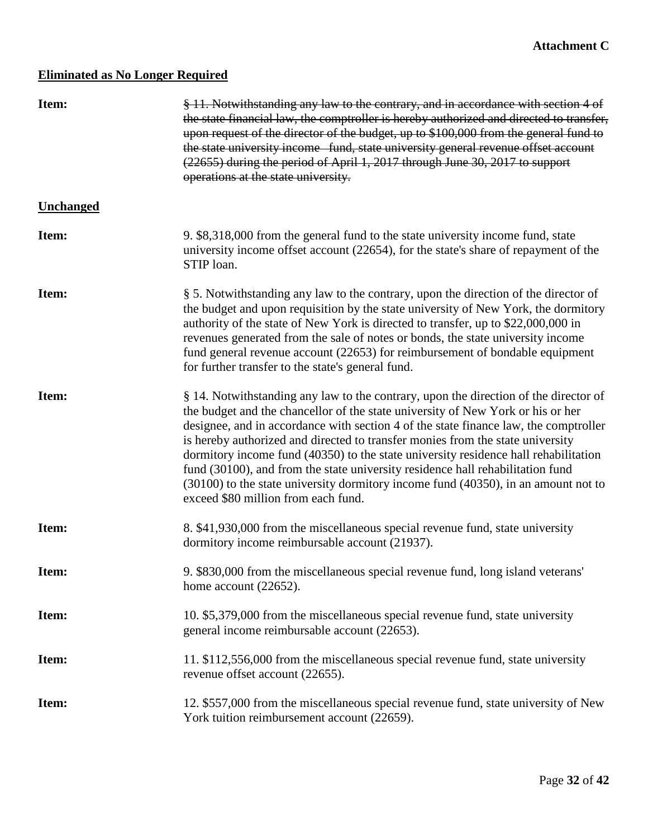## **Eliminated as No Longer Required**

| Item:            | § 11. Notwithstanding any law to the contrary, and in accordance with section 4 of<br>the state financial law, the comptroller is hereby authorized and directed to transfer,<br>upon request of the director of the budget, up to \$100,000 from the general fund to<br>the state university income fund, state university general revenue offset account<br>(22655) during the period of April 1, 2017 through June 30, 2017 to support<br>operations at the state university.                                                                                                                                                                        |
|------------------|---------------------------------------------------------------------------------------------------------------------------------------------------------------------------------------------------------------------------------------------------------------------------------------------------------------------------------------------------------------------------------------------------------------------------------------------------------------------------------------------------------------------------------------------------------------------------------------------------------------------------------------------------------|
| <b>Unchanged</b> |                                                                                                                                                                                                                                                                                                                                                                                                                                                                                                                                                                                                                                                         |
| Item:            | 9. \$8,318,000 from the general fund to the state university income fund, state<br>university income offset account (22654), for the state's share of repayment of the<br>STIP loan.                                                                                                                                                                                                                                                                                                                                                                                                                                                                    |
| Item:            | § 5. Notwithstanding any law to the contrary, upon the direction of the director of<br>the budget and upon requisition by the state university of New York, the dormitory<br>authority of the state of New York is directed to transfer, up to \$22,000,000 in<br>revenues generated from the sale of notes or bonds, the state university income<br>fund general revenue account (22653) for reimbursement of bondable equipment<br>for further transfer to the state's general fund.                                                                                                                                                                  |
| Item:            | § 14. Notwithstanding any law to the contrary, upon the direction of the director of<br>the budget and the chancellor of the state university of New York or his or her<br>designee, and in accordance with section 4 of the state finance law, the comptroller<br>is hereby authorized and directed to transfer monies from the state university<br>dormitory income fund (40350) to the state university residence hall rehabilitation<br>fund (30100), and from the state university residence hall rehabilitation fund<br>(30100) to the state university dormitory income fund (40350), in an amount not to<br>exceed \$80 million from each fund. |
| Item:            | 8. \$41,930,000 from the miscellaneous special revenue fund, state university<br>dormitory income reimbursable account (21937).                                                                                                                                                                                                                                                                                                                                                                                                                                                                                                                         |
| Item:            | 9. \$830,000 from the miscellaneous special revenue fund, long island veterans'<br>home account (22652).                                                                                                                                                                                                                                                                                                                                                                                                                                                                                                                                                |
| Item:            | 10. \$5,379,000 from the miscellaneous special revenue fund, state university<br>general income reimbursable account (22653).                                                                                                                                                                                                                                                                                                                                                                                                                                                                                                                           |
| Item:            | 11. \$112,556,000 from the miscellaneous special revenue fund, state university<br>revenue offset account (22655).                                                                                                                                                                                                                                                                                                                                                                                                                                                                                                                                      |
| Item:            | 12. \$557,000 from the miscellaneous special revenue fund, state university of New<br>York tuition reimbursement account (22659).                                                                                                                                                                                                                                                                                                                                                                                                                                                                                                                       |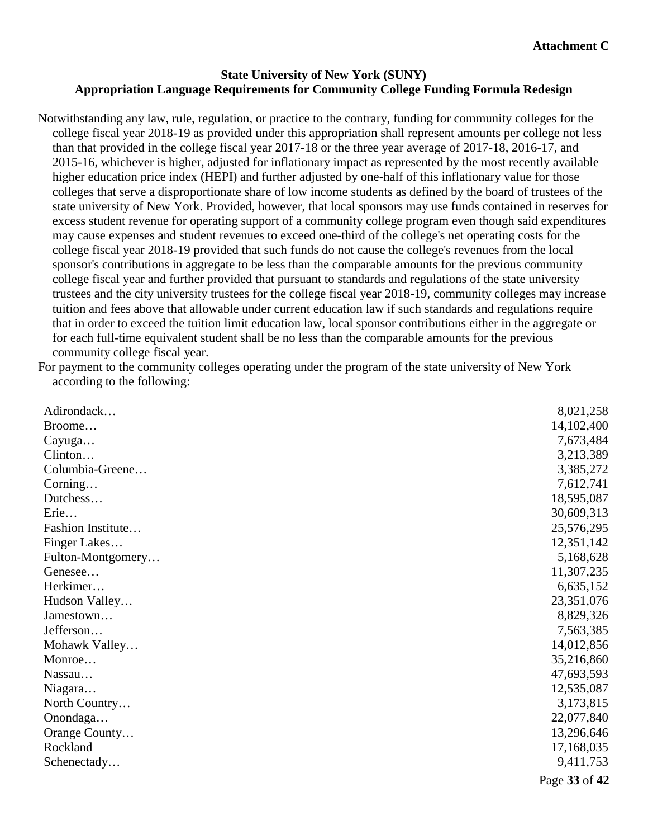#### **State University of New York (SUNY) Appropriation Language Requirements for Community College Funding Formula Redesign**

Notwithstanding any law, rule, regulation, or practice to the contrary, funding for community colleges for the college fiscal year 2018-19 as provided under this appropriation shall represent amounts per college not less than that provided in the college fiscal year 2017-18 or the three year average of 2017-18, 2016-17, and 2015-16, whichever is higher, adjusted for inflationary impact as represented by the most recently available higher education price index (HEPI) and further adjusted by one-half of this inflationary value for those colleges that serve a disproportionate share of low income students as defined by the board of trustees of the state university of New York. Provided, however, that local sponsors may use funds contained in reserves for excess student revenue for operating support of a community college program even though said expenditures may cause expenses and student revenues to exceed one-third of the college's net operating costs for the college fiscal year 2018-19 provided that such funds do not cause the college's revenues from the local sponsor's contributions in aggregate to be less than the comparable amounts for the previous community college fiscal year and further provided that pursuant to standards and regulations of the state university trustees and the city university trustees for the college fiscal year 2018-19, community colleges may increase tuition and fees above that allowable under current education law if such standards and regulations require that in order to exceed the tuition limit education law, local sponsor contributions either in the aggregate or for each full-time equivalent student shall be no less than the comparable amounts for the previous community college fiscal year.

For payment to the community colleges operating under the program of the state university of New York according to the following:

| Adirondack        | 8,021,258     |
|-------------------|---------------|
| Broome            | 14,102,400    |
| Cayuga            | 7,673,484     |
| Clinton           | 3,213,389     |
| Columbia-Greene   | 3,385,272     |
| Corning           | 7,612,741     |
| Dutchess          | 18,595,087    |
| Erie              | 30,609,313    |
| Fashion Institute | 25,576,295    |
| Finger Lakes      | 12,351,142    |
| Fulton-Montgomery | 5,168,628     |
| Genesee           | 11,307,235    |
| Herkimer          | 6,635,152     |
| Hudson Valley     | 23,351,076    |
| Jamestown         | 8,829,326     |
| Jefferson         | 7,563,385     |
| Mohawk Valley     | 14,012,856    |
| Monroe            | 35,216,860    |
| Nassau            | 47,693,593    |
| Niagara           | 12,535,087    |
| North Country     | 3,173,815     |
| Onondaga          | 22,077,840    |
| Orange County     | 13,296,646    |
| Rockland          | 17,168,035    |
| Schenectady       | 9,411,753     |
|                   | Page 33 of 42 |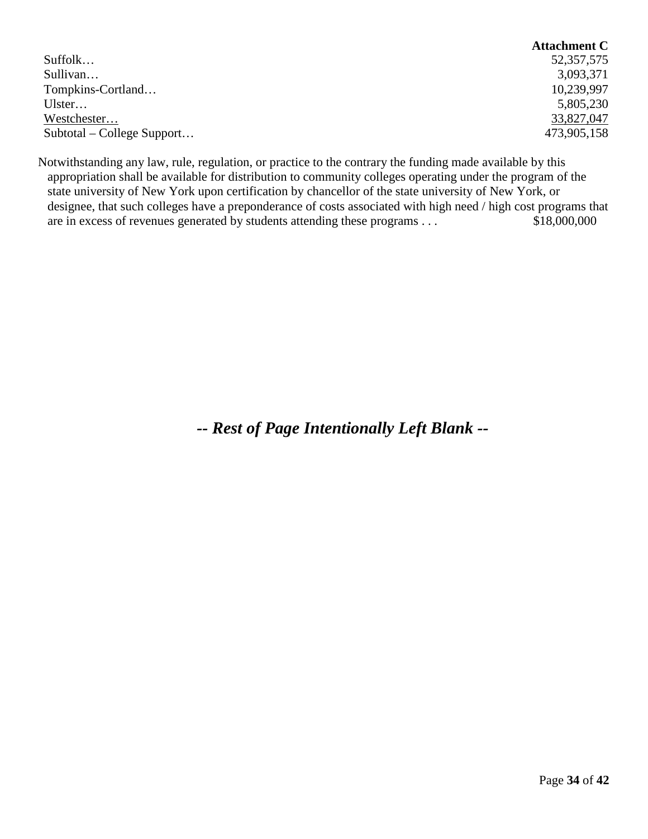|                            | <b>Attachment C</b> |
|----------------------------|---------------------|
| Suffolk                    | 52, 357, 575        |
| Sullivan                   | 3,093,371           |
| Tompkins-Cortland          | 10,239,997          |
| Ulster                     | 5,805,230           |
| Westchester                | 33,827,047          |
| Subtotal – College Support | 473,905,158         |

Notwithstanding any law, rule, regulation, or practice to the contrary the funding made available by this appropriation shall be available for distribution to community colleges operating under the program of the state university of New York upon certification by chancellor of the state university of New York, or designee, that such colleges have a preponderance of costs associated with high need / high cost programs that are in excess of revenues generated by students attending these programs . . . \$18,000,000

*-- Rest of Page Intentionally Left Blank --*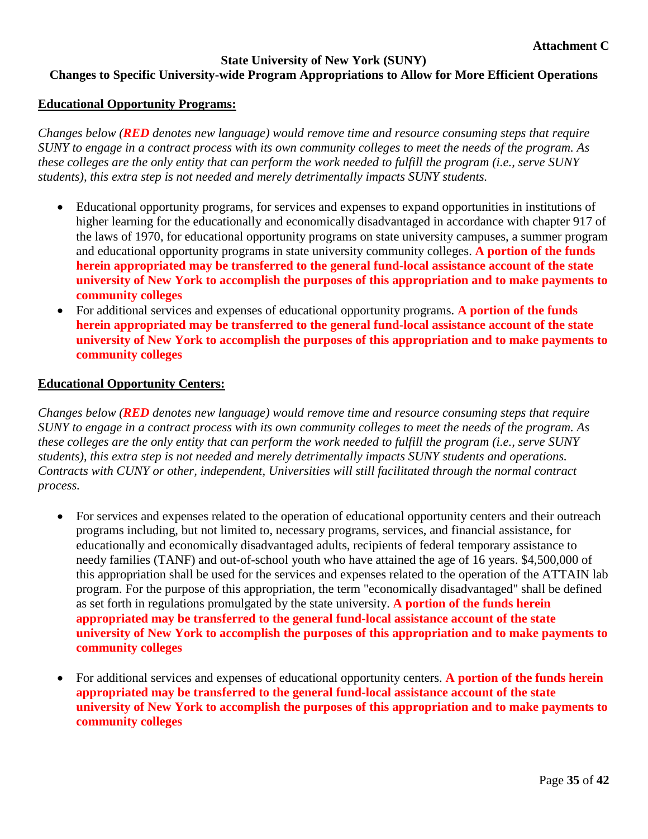#### **State University of New York (SUNY) Changes to Specific University-wide Program Appropriations to Allow for More Efficient Operations**

#### **Educational Opportunity Programs:**

*Changes below (RED denotes new language) would remove time and resource consuming steps that require SUNY to engage in a contract process with its own community colleges to meet the needs of the program. As these colleges are the only entity that can perform the work needed to fulfill the program (i.e., serve SUNY students), this extra step is not needed and merely detrimentally impacts SUNY students.*

- Educational opportunity programs, for services and expenses to expand opportunities in institutions of higher learning for the educationally and economically disadvantaged in accordance with chapter 917 of the laws of 1970, for educational opportunity programs on state university campuses, a summer program and educational opportunity programs in state university community colleges. **A portion of the funds herein appropriated may be transferred to the general fund-local assistance account of the state university of New York to accomplish the purposes of this appropriation and to make payments to community colleges**
- For additional services and expenses of educational opportunity programs. **A portion of the funds herein appropriated may be transferred to the general fund-local assistance account of the state university of New York to accomplish the purposes of this appropriation and to make payments to community colleges**

#### **Educational Opportunity Centers:**

*Changes below (RED denotes new language) would remove time and resource consuming steps that require SUNY to engage in a contract process with its own community colleges to meet the needs of the program. As these colleges are the only entity that can perform the work needed to fulfill the program (i.e., serve SUNY students), this extra step is not needed and merely detrimentally impacts SUNY students and operations. Contracts with CUNY or other, independent, Universities will still facilitated through the normal contract process.*

- For services and expenses related to the operation of educational opportunity centers and their outreach programs including, but not limited to, necessary programs, services, and financial assistance, for educationally and economically disadvantaged adults, recipients of federal temporary assistance to needy families (TANF) and out-of-school youth who have attained the age of 16 years. \$4,500,000 of this appropriation shall be used for the services and expenses related to the operation of the ATTAIN lab program. For the purpose of this appropriation, the term "economically disadvantaged" shall be defined as set forth in regulations promulgated by the state university. **A portion of the funds herein appropriated may be transferred to the general fund-local assistance account of the state university of New York to accomplish the purposes of this appropriation and to make payments to community colleges**
- For additional services and expenses of educational opportunity centers. **A portion of the funds herein appropriated may be transferred to the general fund-local assistance account of the state university of New York to accomplish the purposes of this appropriation and to make payments to community colleges**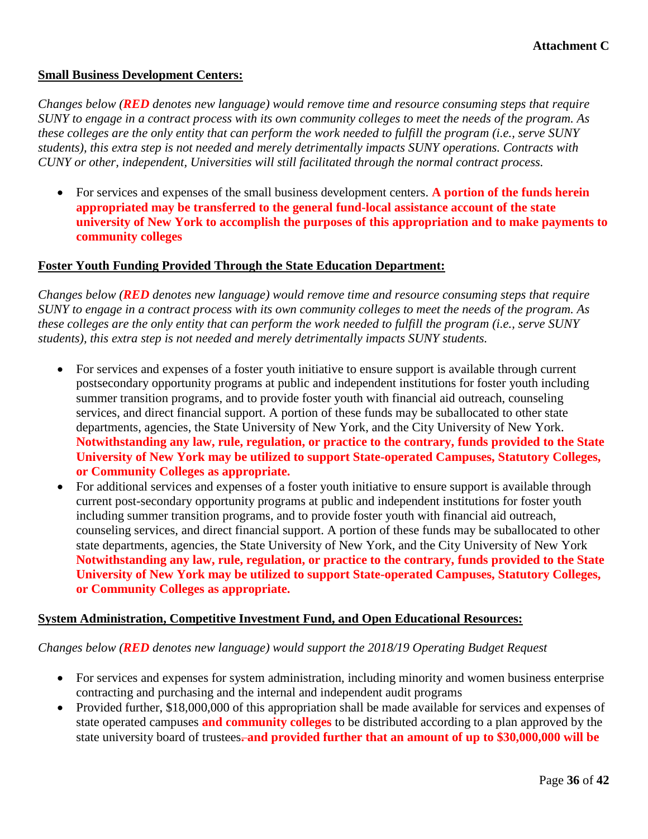#### **Small Business Development Centers:**

*Changes below (RED denotes new language) would remove time and resource consuming steps that require SUNY to engage in a contract process with its own community colleges to meet the needs of the program. As these colleges are the only entity that can perform the work needed to fulfill the program (i.e., serve SUNY students), this extra step is not needed and merely detrimentally impacts SUNY operations. Contracts with CUNY or other, independent, Universities will still facilitated through the normal contract process.*

• For services and expenses of the small business development centers. **A portion of the funds herein appropriated may be transferred to the general fund-local assistance account of the state university of New York to accomplish the purposes of this appropriation and to make payments to community colleges**

#### **Foster Youth Funding Provided Through the State Education Department:**

*Changes below (RED denotes new language) would remove time and resource consuming steps that require SUNY to engage in a contract process with its own community colleges to meet the needs of the program. As these colleges are the only entity that can perform the work needed to fulfill the program (i.e., serve SUNY students), this extra step is not needed and merely detrimentally impacts SUNY students.*

- For services and expenses of a foster youth initiative to ensure support is available through current postsecondary opportunity programs at public and independent institutions for foster youth including summer transition programs, and to provide foster youth with financial aid outreach, counseling services, and direct financial support. A portion of these funds may be suballocated to other state departments, agencies, the State University of New York, and the City University of New York. **Notwithstanding any law, rule, regulation, or practice to the contrary, funds provided to the State University of New York may be utilized to support State-operated Campuses, Statutory Colleges, or Community Colleges as appropriate.**
- For additional services and expenses of a foster youth initiative to ensure support is available through current post-secondary opportunity programs at public and independent institutions for foster youth including summer transition programs, and to provide foster youth with financial aid outreach, counseling services, and direct financial support. A portion of these funds may be suballocated to other state departments, agencies, the State University of New York, and the City University of New York **Notwithstanding any law, rule, regulation, or practice to the contrary, funds provided to the State University of New York may be utilized to support State-operated Campuses, Statutory Colleges, or Community Colleges as appropriate.**

#### **System Administration, Competitive Investment Fund, and Open Educational Resources:**

#### *Changes below (RED denotes new language) would support the 2018/19 Operating Budget Request*

- For services and expenses for system administration, including minority and women business enterprise contracting and purchasing and the internal and independent audit programs
- Provided further, \$18,000,000 of this appropriation shall be made available for services and expenses of state operated campuses **and community colleges** to be distributed according to a plan approved by the state university board of trustees**. and provided further that an amount of up to \$30,000,000 will be**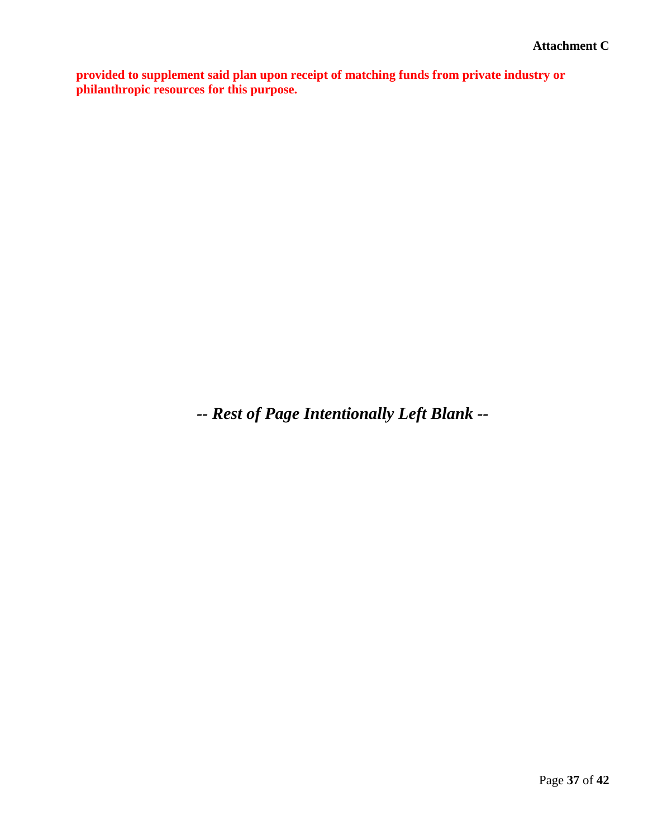**provided to supplement said plan upon receipt of matching funds from private industry or philanthropic resources for this purpose.**

*-- Rest of Page Intentionally Left Blank --*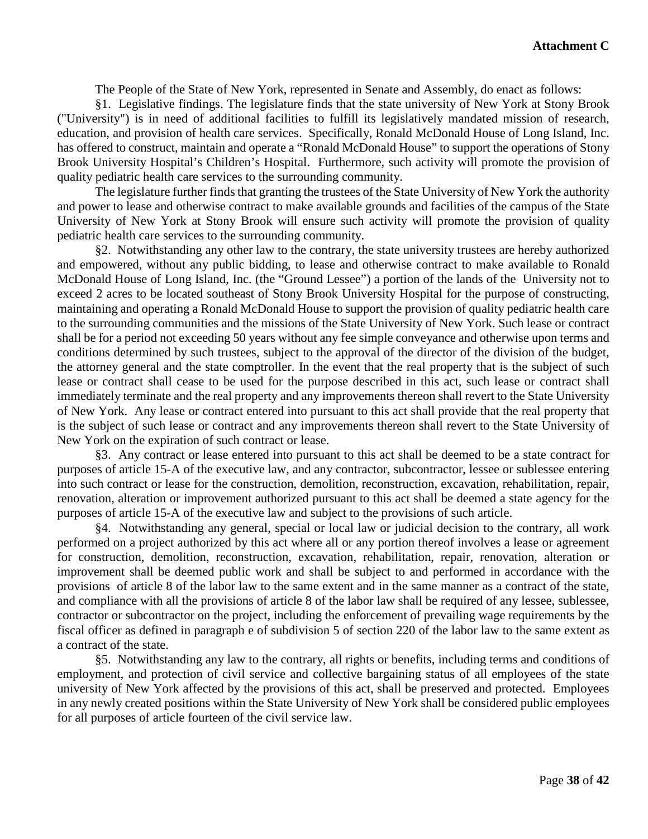The People of the State of New York, represented in Senate and Assembly, do enact as follows:

§1. Legislative findings. The legislature finds that the state university of New York at Stony Brook ("University") is in need of additional facilities to fulfill its legislatively mandated mission of research, education, and provision of health care services. Specifically, Ronald McDonald House of Long Island, Inc. has offered to construct, maintain and operate a "Ronald McDonald House" to support the operations of Stony Brook University Hospital's Children's Hospital. Furthermore, such activity will promote the provision of quality pediatric health care services to the surrounding community.

The legislature further finds that granting the trustees of the State University of New York the authority and power to lease and otherwise contract to make available grounds and facilities of the campus of the State University of New York at Stony Brook will ensure such activity will promote the provision of quality pediatric health care services to the surrounding community.

§2. Notwithstanding any other law to the contrary, the state university trustees are hereby authorized and empowered, without any public bidding, to lease and otherwise contract to make available to Ronald McDonald House of Long Island, Inc. (the "Ground Lessee") a portion of the lands of the University not to exceed 2 acres to be located southeast of Stony Brook University Hospital for the purpose of constructing, maintaining and operating a Ronald McDonald House to support the provision of quality pediatric health care to the surrounding communities and the missions of the State University of New York. Such lease or contract shall be for a period not exceeding 50 years without any fee simple conveyance and otherwise upon terms and conditions determined by such trustees, subject to the approval of the director of the division of the budget, the attorney general and the state comptroller. In the event that the real property that is the subject of such lease or contract shall cease to be used for the purpose described in this act, such lease or contract shall immediately terminate and the real property and any improvements thereon shall revert to the State University of New York. Any lease or contract entered into pursuant to this act shall provide that the real property that is the subject of such lease or contract and any improvements thereon shall revert to the State University of New York on the expiration of such contract or lease.

§3. Any contract or lease entered into pursuant to this act shall be deemed to be a state contract for purposes of article 15-A of the executive law, and any contractor, subcontractor, lessee or sublessee entering into such contract or lease for the construction, demolition, reconstruction, excavation, rehabilitation, repair, renovation, alteration or improvement authorized pursuant to this act shall be deemed a state agency for the purposes of article 15-A of the executive law and subject to the provisions of such article.

§4. Notwithstanding any general, special or local law or judicial decision to the contrary, all work performed on a project authorized by this act where all or any portion thereof involves a lease or agreement for construction, demolition, reconstruction, excavation, rehabilitation, repair, renovation, alteration or improvement shall be deemed public work and shall be subject to and performed in accordance with the provisions of article 8 of the labor law to the same extent and in the same manner as a contract of the state, and compliance with all the provisions of article 8 of the labor law shall be required of any lessee, sublessee, contractor or subcontractor on the project, including the enforcement of prevailing wage requirements by the fiscal officer as defined in paragraph e of subdivision 5 of section 220 of the labor law to the same extent as a contract of the state.

§5. Notwithstanding any law to the contrary, all rights or benefits, including terms and conditions of employment, and protection of civil service and collective bargaining status of all employees of the state university of New York affected by the provisions of this act, shall be preserved and protected. Employees in any newly created positions within the State University of New York shall be considered public employees for all purposes of article fourteen of the civil service law.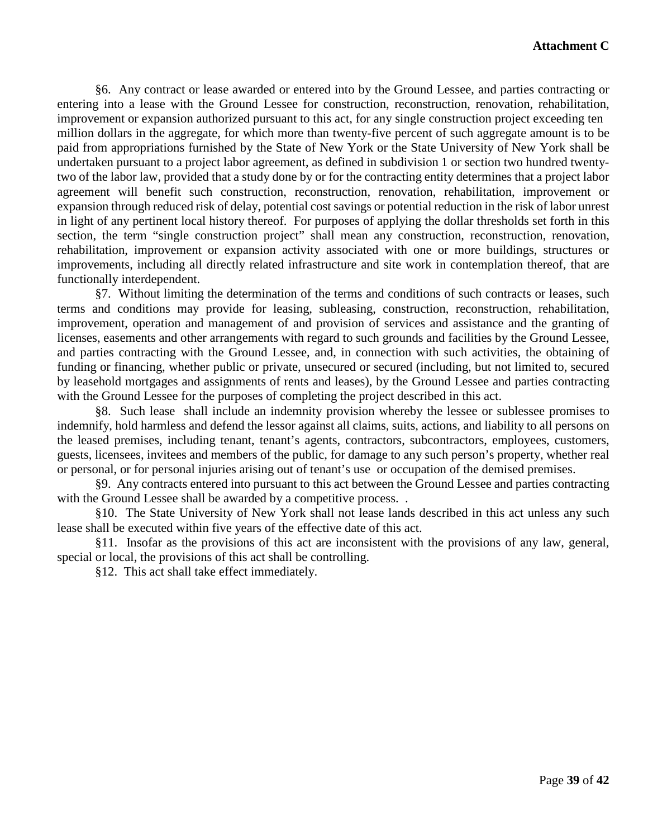§6. Any contract or lease awarded or entered into by the Ground Lessee, and parties contracting or entering into a lease with the Ground Lessee for construction, reconstruction, renovation, rehabilitation, improvement or expansion authorized pursuant to this act, for any single construction project exceeding ten million dollars in the aggregate, for which more than twenty-five percent of such aggregate amount is to be paid from appropriations furnished by the State of New York or the State University of New York shall be undertaken pursuant to a project labor agreement, as defined in subdivision 1 or section two hundred twentytwo of the labor law, provided that a study done by or for the contracting entity determines that a project labor agreement will benefit such construction, reconstruction, renovation, rehabilitation, improvement or expansion through reduced risk of delay, potential cost savings or potential reduction in the risk of labor unrest in light of any pertinent local history thereof. For purposes of applying the dollar thresholds set forth in this section, the term "single construction project" shall mean any construction, reconstruction, renovation, rehabilitation, improvement or expansion activity associated with one or more buildings, structures or improvements, including all directly related infrastructure and site work in contemplation thereof, that are functionally interdependent.

§7. Without limiting the determination of the terms and conditions of such contracts or leases, such terms and conditions may provide for leasing, subleasing, construction, reconstruction, rehabilitation, improvement, operation and management of and provision of services and assistance and the granting of licenses, easements and other arrangements with regard to such grounds and facilities by the Ground Lessee, and parties contracting with the Ground Lessee, and, in connection with such activities, the obtaining of funding or financing, whether public or private, unsecured or secured (including, but not limited to, secured by leasehold mortgages and assignments of rents and leases), by the Ground Lessee and parties contracting with the Ground Lessee for the purposes of completing the project described in this act.

§8. Such lease shall include an indemnity provision whereby the lessee or sublessee promises to indemnify, hold harmless and defend the lessor against all claims, suits, actions, and liability to all persons on the leased premises, including tenant, tenant's agents, contractors, subcontractors, employees, customers, guests, licensees, invitees and members of the public, for damage to any such person's property, whether real or personal, or for personal injuries arising out of tenant's use or occupation of the demised premises.

§9. Any contracts entered into pursuant to this act between the Ground Lessee and parties contracting with the Ground Lessee shall be awarded by a competitive process...

§10. The State University of New York shall not lease lands described in this act unless any such lease shall be executed within five years of the effective date of this act.

§11. Insofar as the provisions of this act are inconsistent with the provisions of any law, general, special or local, the provisions of this act shall be controlling.

§12. This act shall take effect immediately.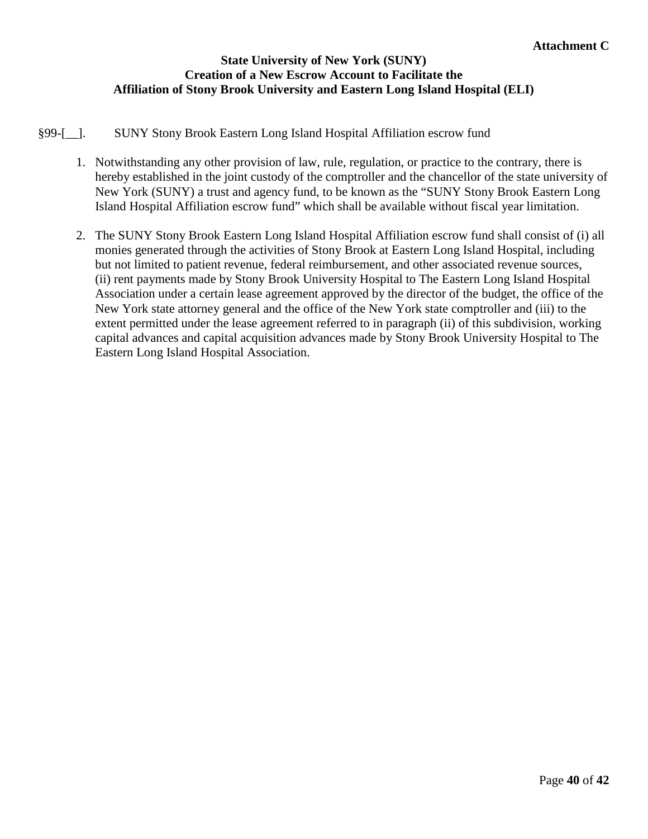#### **State University of New York (SUNY) Creation of a New Escrow Account to Facilitate the Affiliation of Stony Brook University and Eastern Long Island Hospital (ELI)**

#### §99-[\_\_]. SUNY Stony Brook Eastern Long Island Hospital Affiliation escrow fund

- 1. Notwithstanding any other provision of law, rule, regulation, or practice to the contrary, there is hereby established in the joint custody of the comptroller and the chancellor of the state university of New York (SUNY) a trust and agency fund, to be known as the "SUNY Stony Brook Eastern Long Island Hospital Affiliation escrow fund" which shall be available without fiscal year limitation.
- 2. The SUNY Stony Brook Eastern Long Island Hospital Affiliation escrow fund shall consist of (i) all monies generated through the activities of Stony Brook at Eastern Long Island Hospital, including but not limited to patient revenue, federal reimbursement, and other associated revenue sources, (ii) rent payments made by Stony Brook University Hospital to The Eastern Long Island Hospital Association under a certain lease agreement approved by the director of the budget, the office of the New York state attorney general and the office of the New York state comptroller and (iii) to the extent permitted under the lease agreement referred to in paragraph (ii) of this subdivision, working capital advances and capital acquisition advances made by Stony Brook University Hospital to The Eastern Long Island Hospital Association.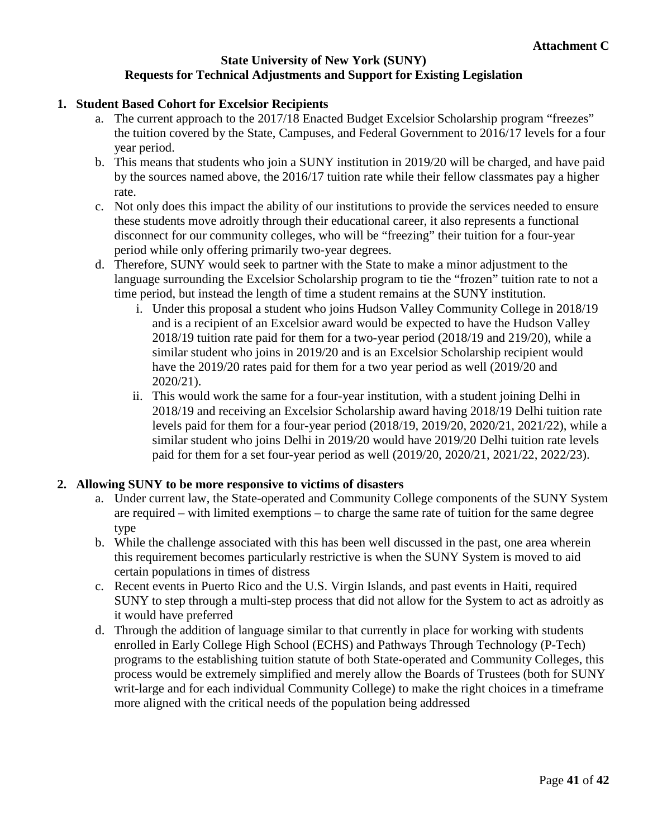#### **State University of New York (SUNY) Requests for Technical Adjustments and Support for Existing Legislation**

#### **1. Student Based Cohort for Excelsior Recipients**

- a. The current approach to the 2017/18 Enacted Budget Excelsior Scholarship program "freezes" the tuition covered by the State, Campuses, and Federal Government to 2016/17 levels for a four year period.
- b. This means that students who join a SUNY institution in 2019/20 will be charged, and have paid by the sources named above, the 2016/17 tuition rate while their fellow classmates pay a higher rate.
- c. Not only does this impact the ability of our institutions to provide the services needed to ensure these students move adroitly through their educational career, it also represents a functional disconnect for our community colleges, who will be "freezing" their tuition for a four-year period while only offering primarily two-year degrees.
- d. Therefore, SUNY would seek to partner with the State to make a minor adjustment to the language surrounding the Excelsior Scholarship program to tie the "frozen" tuition rate to not a time period, but instead the length of time a student remains at the SUNY institution.
	- i. Under this proposal a student who joins Hudson Valley Community College in 2018/19 and is a recipient of an Excelsior award would be expected to have the Hudson Valley 2018/19 tuition rate paid for them for a two-year period (2018/19 and 219/20), while a similar student who joins in 2019/20 and is an Excelsior Scholarship recipient would have the 2019/20 rates paid for them for a two year period as well (2019/20 and 2020/21).
	- ii. This would work the same for a four-year institution, with a student joining Delhi in 2018/19 and receiving an Excelsior Scholarship award having 2018/19 Delhi tuition rate levels paid for them for a four-year period (2018/19, 2019/20, 2020/21, 2021/22), while a similar student who joins Delhi in 2019/20 would have 2019/20 Delhi tuition rate levels paid for them for a set four-year period as well (2019/20, 2020/21, 2021/22, 2022/23).

#### **2. Allowing SUNY to be more responsive to victims of disasters**

- a. Under current law, the State-operated and Community College components of the SUNY System are required – with limited exemptions – to charge the same rate of tuition for the same degree type
- b. While the challenge associated with this has been well discussed in the past, one area wherein this requirement becomes particularly restrictive is when the SUNY System is moved to aid certain populations in times of distress
- c. Recent events in Puerto Rico and the U.S. Virgin Islands, and past events in Haiti, required SUNY to step through a multi-step process that did not allow for the System to act as adroitly as it would have preferred
- d. Through the addition of language similar to that currently in place for working with students enrolled in Early College High School (ECHS) and Pathways Through Technology (P-Tech) programs to the establishing tuition statute of both State-operated and Community Colleges, this process would be extremely simplified and merely allow the Boards of Trustees (both for SUNY writ-large and for each individual Community College) to make the right choices in a timeframe more aligned with the critical needs of the population being addressed